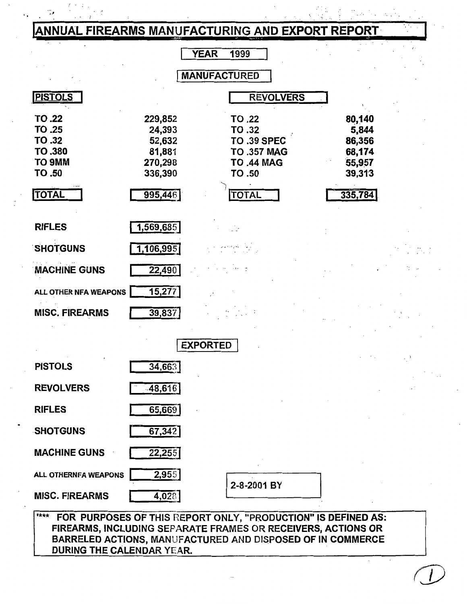# ANNUAL FIREARMS MANUFACTURING AND EXPORT REPORT

|                                                          |                                                             | 1999<br>YEAR                                                                                |                                                         |
|----------------------------------------------------------|-------------------------------------------------------------|---------------------------------------------------------------------------------------------|---------------------------------------------------------|
|                                                          |                                                             | <b>MANUFACTURED</b>                                                                         |                                                         |
| <b>PISTOLS</b>                                           |                                                             | <b>REVOLVERS</b>                                                                            |                                                         |
| TO .22<br>TO .25<br>TO .32<br>TO .380<br>TO 9MM<br>TO.50 | 229,852<br>24,393<br>52,632<br>81,881<br>270,298<br>336,390 | TO .22<br>TO .32<br><b>TO .39 SPEC</b><br><b>TO .357 MAG</b><br><b>TO .44 MAG</b><br>TO .50 | 80,140<br>5,844<br>86,356<br>68,174<br>55,957<br>39,313 |
| <b>TOTAL</b>                                             | 995,446                                                     | <b>TOTAL</b>                                                                                | 335,784                                                 |
| <b>RIFLES</b>                                            | 1,569,685                                                   |                                                                                             |                                                         |
| <b>SHOTGUNS</b>                                          | 1,106,995                                                   |                                                                                             |                                                         |
| <b>MACHINE GUNS</b>                                      | 22,490                                                      |                                                                                             |                                                         |
| ALL OTHER NFA WEAPONS                                    | 15,277                                                      |                                                                                             |                                                         |
| <b>MISC. FIREARMS</b>                                    | 39,837                                                      |                                                                                             |                                                         |
|                                                          |                                                             | <b>EXPORTED</b>                                                                             |                                                         |
| <b>PISTOLS</b>                                           | 34,663                                                      |                                                                                             |                                                         |
| <b>REVOLVERS</b>                                         | $-48,616$                                                   |                                                                                             |                                                         |
| <b>RIFLES</b>                                            | 65,669                                                      |                                                                                             |                                                         |
| <b>SHOTGUNS</b>                                          | 67,342                                                      |                                                                                             |                                                         |
| <b>MACHINE GUNS</b>                                      | 22,255                                                      |                                                                                             |                                                         |
| ALL OTHERNFA WEAPONS                                     | 2,955                                                       |                                                                                             |                                                         |

**MISC. FIREARMS** 

2-8-2001 BY

 $\overline{\mathbf{r} + \mathbf{r}}$ FOR PURPOSES OF THIS REPORT ONLY, "PRODUCTION" IS DEFINED AS: FIREARMS, INCLUDING SEPARATE FRAMES OR RECEIVERS, ACTIONS OR BARRELED ACTIONS, MANUFACTURED AND DISPOSED OF IN COMMERCE **DURING THE CALENDAR YEAR.** 

 $4,028$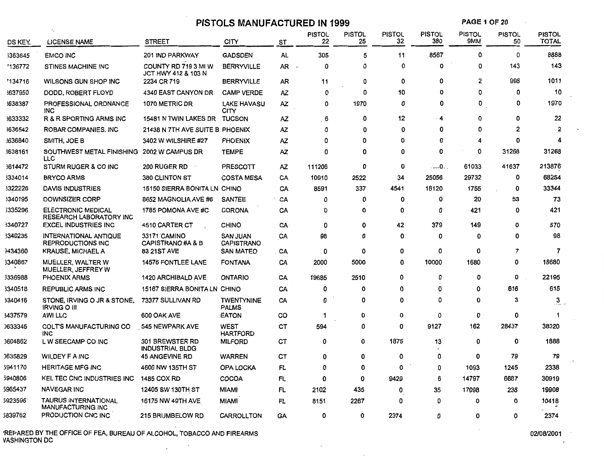# **PISTOLS MANUFACTURED IN 1999**

**PAGE 1 OF 20** 

| DS KEY.        | <b>LICENSE NAME</b>                                  | <b>STREET</b>                                    | CITY                                 | ST        | <b>PISTOL</b><br>22 | <b>PISTOL</b><br>25 | <b>PISTOL</b><br>32 | <b>PISTOL</b><br>380 | <b>PISTOL</b><br>9MM | <b>PISTOL</b><br>50 | PISTOL<br><b>TOTAL</b> |
|----------------|------------------------------------------------------|--------------------------------------------------|--------------------------------------|-----------|---------------------|---------------------|---------------------|----------------------|----------------------|---------------------|------------------------|
| <b>363645</b>  | <b>EMCO INC</b>                                      | 201 IND PARKWAY                                  | <b>GADSDEN</b>                       | AL        | 305                 | 5                   | 11                  | 8567                 | 0                    | 0                   | 8888                   |
| '136772        | <b>STINES MACHINE INC</b>                            | COUNTY RD 719 3 MI W<br>JCT HWY 412 & 103 N      | <b>BERRYVILLE</b>                    | AR        | 0                   | 0                   | 0                   | 0                    | 0                    | 143                 | 143                    |
| '134716        | WILSONS GUN SHOP INC                                 | 2234 CR 719                                      | <b>BERRYVILLE</b>                    | AR        | 11                  | 0                   | 0                   | O                    | 2                    | 998                 | 1011                   |
| 3637950        | DODD, ROBERT FLOYD                                   | 4340 EAST CANYON DR                              | <b>CAMP VERDE</b>                    | AZ.       | 0                   | 0                   | 10                  | 0                    | 0                    | 0                   | 10                     |
| 3638387        | <b>PROFESSIONAL ORDNANCE</b><br><b>INC</b>           | 1070 METRIC DR                                   | <b>LAKE HAVASU</b><br>CITY           | AZ        | 0                   | 1970                | 0                   | 0                    | 0                    | 0                   | 1970                   |
| 3633332        | R & R SPORTING ARMS INC                              | 15481 N TWIN LAKES DR TUCSON                     |                                      | AZ.       | 6                   | 0                   | 12                  | - 4                  | 0                    | 0                   | 22                     |
| 3636542        | ROBAR COMPANIES, INC                                 | 21438 N 7TH AVE SUITE B PHOENIX                  |                                      | ΑZ        | 0                   | 0                   | 0                   | 0                    | 0                    | 2                   | $\overline{2}$         |
| 1636840        | SMITH, JOE B                                         | 3402 W WILSHIRE #27                              | <b>PHOENIX</b>                       | AZ        | ٥                   | 0                   | 0                   | 0                    | 4                    | 0                   | 4                      |
| 3638161        | SOUTHWEST METAL FINISHING<br>LLC                     | 2002 W CAMPUS DR                                 | <b>TEMPE</b>                         | AZ        | 0                   | 0                   | 0                   | 0                    | 0                    | 31268               | 31268                  |
| 3614472        | STURM RUGER & CO INC                                 | <b>200 RUGER RD</b>                              | <b>PRESCOTT</b>                      | ΑZ        | 111206              | 0                   | 0                   | . 0. .               | 61033                | 41637               | 213876                 |
| 3334014        | <b>BRYCO ARMS</b>                                    | <b>380 CLINTON ST</b>                            | <b>COSTA MESA</b>                    | CA        | 10910               | 2522                | 34                  | 25056                | 29732                | 0                   | 68254                  |
| 3322226        | DAVIS INDUSTRIES                                     | 15150 SIERRA BONITA LN CHINO                     |                                      | CA        | 8591                | 337                 | 4541                | 18120                | 1755                 | 0                   | 33344                  |
| 3340195        | DOWNSIZER CORP                                       | 8652 MAGNOLIA AVE #6                             | <b>SANTEE</b>                        | CA        | 0                   | 0                   | 0                   | 0                    | 20                   | 53                  | 73                     |
| 3335296        | <b>ELECTRONIC MEDICAL</b><br>RESEARCH LABORATORY INC | 1785 POMONA AVE #C                               | <b>CORONA</b>                        | CA        | 0                   | 0                   | 0                   | 0                    | 421                  | 0                   | 421                    |
| 3340727        | <b>EXCEL INDUSTRIES INC</b>                          | 4510 CARTER CT                                   | <b>CHINO</b>                         | CA        | 0                   | 0                   | 42                  | 379                  | 149                  | 0                   | 570                    |
| 3340235        | INTERNATIONAL ANTIQUE<br><b>REPRODUCTIONS INC</b>    | 33171 CAMINO<br>CAPISTRANO#A & B                 | <b>SAN JUAN</b><br><b>CAPISTRANO</b> | CA        | 98                  | 0                   | 0                   | 0                    | 0                    | 0                   | 98                     |
| <b>3434360</b> | KRAUSE, MICHAEL A                                    | <b>83 21ST AVE</b>                               | <b>SAN MATEO</b>                     | CA        | 0                   | 0                   | 0                   | 0                    | 0                    | 7                   | $\overline{7}$         |
| 3340867        | MUELLER, WALTER W<br>MUELLER, JEFFREY W              | 14576 FONTLEE LANE                               | <b>FONTANA</b>                       | CA        | 2000                | 5000                | 0                   | 10000                | 1680                 | 0                   | 18680                  |
| 3336988        | <b>PHOENIX ARMS</b>                                  | <b>1420 ARCHIBALD AVE</b>                        | <b>ONTARIO</b>                       | CA        | 19685               | 2510                | 0                   | 0                    | 0                    | 0                   | 22195                  |
| 3340518        | <b>REPUBLIC ARMS INC</b>                             | 15167 SIERRA BONITA LN CHINO                     |                                      | CA        | 0                   | 0                   | 0                   | 0                    | 0                    | 616                 | 616                    |
| 3340416        | STONE, IRVING O JR & STONE,<br><b>IRVING O III</b>   | 73377 SULLIVAN RD                                | <b>TWENTYNINE</b><br><b>PALMS</b>    | CA        | 0                   | 0                   | 0                   | 0                    | 0                    | 3                   | $\frac{3}{2}$          |
| 3437579        | <b>AWI LLC</b>                                       | 600 OAK AVE                                      | <b>EATON</b>                         | co        | 1                   | 0                   | 0                   | 0                    | 0                    | 0                   | $\blacktriangleleft$   |
| 0633345        | <b>COLT'S MANUFACTURING CO</b><br><b>INC</b>         | 545 NEWPARK AVE                                  | <b>WEST</b><br><b>HARTFORD</b>       | СT        | 594                 | 0                   | 0                   | 9127                 | 162                  | 28437               | 38320                  |
| 0604862        | L W SEECAMP CO INC                                   | <b>301 BREWSTER RD</b><br><b>INDUSTRIAL BLDG</b> | <b>MILFORD</b>                       | CТ        | 0                   | 0                   | 1875                | 13                   | 0                    | 0                   | 1888                   |
| 0635829        | <b>WILDEY F A INC</b>                                | <b>45 ANGEVINE RD</b>                            | <b>WARREN</b>                        | CT        | 0                   | 0                   | 0                   | 0                    | 0                    | 79                  | 79                     |
| 5941170        | <b>HERITAGE MFG INC</b>                              | 4600 NW 135TH ST                                 | <b>OPA LOCKA</b>                     | FL.       | 0                   | 0                   | 0                   | 0                    | 1093                 | 1245                | 2338                   |
| 5940806        | KEL TEC CNC INDUSTRIES INC                           | <b>1485 COX RD</b>                               | COCOA                                | FL        | 0                   | $\Omega$            | 9429                | 6                    | 14797                | 6687                | 30919                  |
| 5965437        | <b>NAVEGAR INC</b>                                   | 12405 SW 130TH ST                                | <b>MIAMI</b>                         | <b>FL</b> | 2102                | 435                 | 0                   | 35                   | 17098                | 238                 | 19908                  |
| 5923596        | TAURUS INTERNATIONAL<br>MANUFACTURING INC            | <b>16175 NW 49TH AVE</b>                         | <b>MIAMI</b>                         | FL        | 8151                | 2267                | 0                   | 0                    | 0                    | 0                   | 10418                  |
| 5839762        | PRODUCTION CNC INC.                                  | <b>215 BRUMBELOW RD</b>                          | CARROLLTON                           | GA        | 0                   | 0                   | 2374                | 0                    | O                    | 0                   | 2374                   |

'REPARED BY THE OFFICE OF FEA, BUREAU OF ALCOHOL, TOBACCO AND FIREARMS VASHINGTON DC . .

 $\cdot$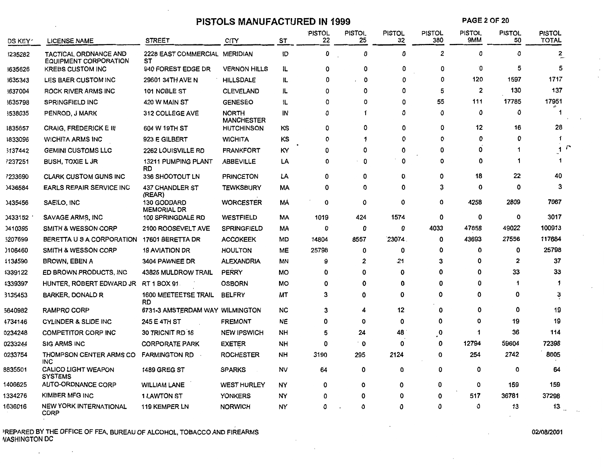## **PISTOLS MANUFACTURED IN 1999**

**PAGE** 2 OF 20

| DS KEY″ | <b>LICENSE NAME</b>                                   | <b>STREET</b>                           | CITY                              | <b>ST</b> | <b>PISTOL</b><br>22 | PISTOL<br>25 | <b>PISTOL</b><br>32 | <b>PISTOL</b><br>380 | <b>PISTOL</b><br>9MM | <b>PISTOL</b><br>50 | <b>PISTOL</b><br><b>TOTAL</b> |
|---------|-------------------------------------------------------|-----------------------------------------|-----------------------------------|-----------|---------------------|--------------|---------------------|----------------------|----------------------|---------------------|-------------------------------|
| 3235282 | <b>TACTICAL ORDNANCE AND</b><br>EQUIPMENT CORPORATION | 2228 EAST COMMERCIAL MERIDIAN<br>SТ     |                                   | İD        | 0                   | 0            | 0                   | $\overline{2}$       | 0                    | 0                   | 2                             |
| 1635626 | <b>KREBS CUSTOM INC</b>                               | 940 FOREST EDGE DR                      | <b>VERNON HILLS</b>               | IL        | ŋ                   | 0            | 0                   | 0                    | O                    | 5                   | 5                             |
| 1635343 | LES BAER CUSTOM INC                                   | 29601 34TH AVE N                        | <b>HILLSDALE</b>                  | IL.       | 0                   | 0            | 0                   | 0                    | 120                  | 1597                | 1717                          |
| 3637004 | ROCK RIVER ARMS INC                                   | 101 NOBLE ST                            | <b>CLEVELAND</b>                  | IL.       | ŋ                   | 0            | Ω                   | 5                    | $\overline{2}$       | 130                 | 137                           |
| 1635798 | <b>SPRINGFIELD INC</b>                                | 420 W MAIN ST                           | <b>GENESEO</b>                    | IL.       | 0                   | O            | 0                   | 55                   | 111                  | 17785               | 17951                         |
| 3538035 | PENROD, J MARK                                        | 312 COLLEGE AVE                         | <b>NORTH</b><br><b>MANCHESTER</b> | ΙN        | Ω                   | 1            | ٥                   | $\Omega$             | 0                    | 0                   | $\mathbf{1}$                  |
| 1835657 | <b>CRAIG, FREDERICK E III</b>                         | 604 W 19TH ST                           | <b>HUTCHINSON</b>                 | κs        | 0                   | 0            | 0                   | 0                    | 12                   | 16                  | 28                            |
| 1833096 | <b>WICHITA ARMS INC</b>                               | 923 E GILBERT                           | <b>WICHITA</b>                    | ΚS        | Ω                   | 1            | 0                   | 0                    | 0                    | O                   | -1                            |
| 3137442 | <b>GEMINI CUSTOMS LLC</b>                             | 2262 LOUISVILLE RD                      | <b>FRANKFORT</b>                  | КY        | 0                   | 0            | ٥                   | 0                    | 0                    |                     | 1                             |
| 7237251 | <b>BUSH, TOXIE L JR</b>                               | <b>13211 PUMPING PLANT</b><br><b>RD</b> | <b>ABBEVILLE</b>                  | LA        | O                   | 0            | 0                   | 0                    | ٥                    | 1                   |                               |
| 7233690 | <b>CLARK CUSTOM GUNS INC</b>                          | 336 SHOOTOUT LN                         | <b>PRINCETON</b>                  | LA        | $\Omega$            | 0            | 0.                  | O                    | 18                   | 22                  | 40                            |
| 0436584 | EARLS REPAIR SERVICE INC                              | <b>437 CHANDLER ST</b><br>(REAR)        | <b>TEWKSBURY</b>                  | МA        | Ω                   | 0            | O                   | 3                    | 0                    | ٥                   | 3                             |
| 0435456 | SAEILO, INC                                           | 130 GODDARD<br><b>MEMORIAL DR</b>       | <b>WORCESTER</b>                  | МA        | 0                   | $\mathbf 0$  | 0                   | 0                    | 4258                 | 2809                | 7067                          |
| 0433152 | SAVAGE ARMS, INC                                      | 100 SPRINGDALE RD                       | <b>WESTFIELD</b>                  | МA        | 1019                | 424          | 1574                | 0                    | 0                    | 0                   | 3017                          |
| 0410395 | <b>SMITH &amp; WESSON CORP</b>                        | 2100 ROOSEVELT AVE                      | <b>SPRINGFIELD</b>                | МA        | O                   | 0            | 0                   | 4033                 | 47858                | 49022               | 100913                        |
| 5207699 | BERETTA U S A CORPORATION                             | 17601 BERETTA DR                        | <b>ACCOKEEK</b>                   | MD        | 14804               | 8557         | 23074               | 0                    | 43693                | 27556               | 117684                        |
| 106460  | SMITH & WESSON CORP                                   | <b>19 AVIATION DR</b>                   | <b>HOULTON</b>                    | ME        | 25798               | 0            | 0                   | 0                    | 0                    | 0                   | 25798                         |
| 1134590 | <b>BROWN, EBEN A</b>                                  | 3404 PAWNEE DR                          | <b>ALEXANDRIA</b>                 | ΜN        | 9                   | $\mathbf{2}$ | .21                 | 3                    | O                    | $\mathbf{2}$        | 37                            |
| 1339122 | ED BROWN PRODUCTS, INC.                               | 43825 MULDROW TRAIL                     | <b>PERRY</b>                      | <b>MO</b> | 0                   | 0            | 0                   | 0                    | O                    | 33                  | 33                            |
| 4339397 | HUNTER, ROBERT EDWARD JR                              | RT 1 BOX 91                             | <b>OSBORN</b>                     | MO        | Ω                   | Ω            | 0                   | O                    | 0                    |                     | 1                             |
| 3135453 | <b>BARKER, DONALD R</b>                               | 1600 MEETEETSE TRAIL<br><b>RD</b>       | <b>BELFRY</b>                     | МT        | 3                   | O            | 0                   | 0                    | 0                    | 0                   | 3                             |
| 5640982 | <b>RAMPRO CORP</b>                                    | 6731-3 AMSTERDAM WAY WILMINGTON         |                                   | <b>NC</b> | 3                   |              | 12                  | 0                    | 0                    | 0                   | 19                            |
| 4734146 | <b>CYLINDER &amp; SLIDE INC</b>                       | 245 E 4TH ST                            | <b>FREMONT</b>                    | <b>NE</b> | 0                   | 0            | 0                   | 0                    | 0                    | 19                  | 19                            |
| 0234248 | <b>COMPETITOR CORP INC</b>                            | 30 TRICNIT RD 16                        | <b>NEW IPSWICH</b>                | NΗ        | 5                   | 24           | 48                  | 0                    | 1                    | 36                  | 114                           |
| 0233244 | <b>SIG ARMS INC</b>                                   | <b>CORPORATE PARK</b>                   | EXETER                            | NH        | 0                   | 0            | 0                   | 0                    | 12794                | 59604               | 72398                         |
| 0233754 | THOMPSON CENTER ARMS CO<br><b>INC</b>                 | <b>FARMINGTON RD</b>                    | <b>ROCHESTER</b>                  | NΗ        | 3190                | 295          | 2124                | $\mathbf 0$          | 254                  | 2742                | 8605                          |
| 8835501 | <b>CALICO LIGHT WEAPON</b><br><b>SYSTEMS</b>          | <b>1489 GREG ST</b>                     | <b>SPARKS</b>                     | NV        | 64                  | 0            | 0                   | 0                    | 0                    | O                   | 64                            |
| 1406625 | <b>AUTO-ORDNANCE CORP</b>                             | <b>WILLIAM LANE</b>                     | <b>WEST HURLEY</b>                | NY        | ٥                   | 0            | 0                   | 0                    | 0                    | 159                 | 159                           |
| 1334276 | KIMBER MFG INC                                        | 1 LAWTON ST                             | <b>YONKERS</b>                    | NY        | 0                   | 0            | 0                   | 0                    | 517                  | 36781               | 37298                         |
| 1636016 | <b>NEW YORK INTERNATIONAL</b><br><b>CORP</b>          | <b>119 KEMPER LN</b>                    | <b>NORWICH</b>                    | NY        | 0                   | 0            | 0                   | 0                    | ٥                    | 13                  | 13 <sub>1</sub>               |

)REPARED BY THE OFFICE OF FEA, BUREAU OF ALCOHOL, TOBACCO AND FIREARMS ~ASHINGTON DC

 $\langle \cdot \rangle$ 

 $\sim$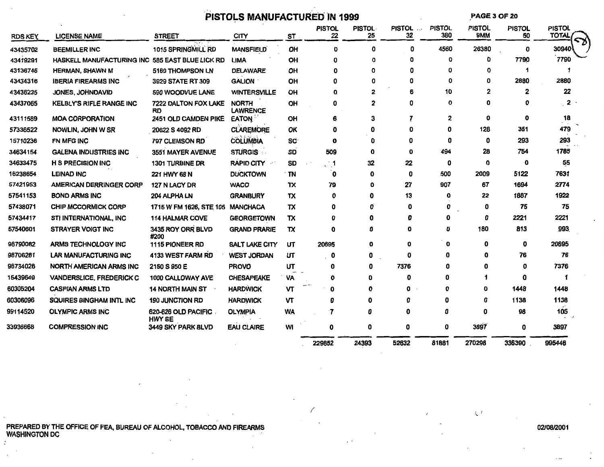# PISTOLS MANUFACTURED IN 1999

**PAGE 3 OF 20** 

| <b>RDS KEY</b> | <b>LICENSE NAME</b>              | <b>STREET</b>                        | <b>CITY</b>                     | ST        | <b>PISTOL</b><br>22 | <b>PISTOL</b><br>25 | <b>PISTOL</b><br>$\ldots$<br>32 | <b>PISTOL</b><br>380 | <b>PISTOL</b><br><b>9MM</b> | <b>PISTOL</b><br>50 | <b>PISTOL</b><br><b>TOTAL</b> |
|----------------|----------------------------------|--------------------------------------|---------------------------------|-----------|---------------------|---------------------|---------------------------------|----------------------|-----------------------------|---------------------|-------------------------------|
| 43435702       | <b>BEEMILLER INC</b>             | 1015 SPRINGMILL RD                   | <b>MANSFIELD</b>                | OH        | Ω                   | O                   | 0                               | 4560                 | 26380                       | 0                   | 30940                         |
| 43419291       | <b>HASKELL MANUFACTURING INC</b> | 585 EAST BLUE LICK RD                | <b>LIMA</b>                     | OH        |                     | 0                   | n                               | O                    | 0                           | 7790                | 7790                          |
| 43136746       | <b>HERMAN, SHAWN M</b>           | 5169 THOMPSON LN                     | <b>DELAWARE</b>                 | OH        |                     | O                   |                                 | Ω                    | o                           | 1                   |                               |
| 43434316       | <b>IBERIA FIREARMS INC</b>       | 3929 STATE RT 309                    | <b>GALION</b>                   | OH        |                     | O                   | 0                               | 0                    | 0                           | 2880                | 2880                          |
| 43436235       | JONES, JOHNDAVID                 | 590 WOODVUE LANE                     | <b>WINTERSVILLE</b>             | OH        |                     | $\mathbf{2}$        | 6                               | 10                   | 2                           | 2                   | 22                            |
| 43437065       | <b>KELBLY'S RIFLE RANGE INC</b>  | 7222 DALTON FOX LAKE<br>RD           | <b>NORTH</b><br><b>LAWRENCE</b> | OH        | Ω                   | 2                   | Ω                               | 0                    | n                           | 0                   | 2                             |
| 43111589       | <b>MOA CORPORATION</b>           | 2451 OLD CAMDEN PIKE                 | <b>EATON</b>                    | OH        |                     | 3                   |                                 | 2                    | 0                           | 0                   | 18                            |
| 57336522       | NOWLIN, JOHN W SR                | 20622 S 4092 RD                      | <b>CLAREMORE</b>                | OK        |                     | Ω                   |                                 | o                    | 128                         | 351                 | 479                           |
| 15710236       | FN MFG INC                       | 797 CLEMSON RD                       | <b>COLUMBIA</b>                 | <b>SC</b> | O                   | 0                   | O                               | 0                    | 0                           | 293                 | 293                           |
| 34634154       | <b>GALENA INDUSTRIES INC</b>     | 3551 MAYER AVENUE                    | <b>STURGIS</b>                  | SD        | 509                 | 0                   | Λ                               | 494                  | 28                          | 754                 | 1785                          |
| 34633475       | <b>H S PRECISION INC</b>         | <b>1301 TURBINE DR</b>               | <b>RAPID CITY</b>               | SD        | ្មា                 | 32                  | 22                              | 0                    | n                           | 0                   | 55                            |
| 16238654       | <b>LEINAD INC</b>                | 221 HWY 68 N                         | <b>DUCKTOWN</b>                 | TN        | 0                   | 0                   | 0                               | 500                  | 2009                        | 5122                | 7631                          |
| 57421953       | <b>AMERICAN DERRINGER CORP</b>   | 127 N LACY DR                        | <b>WACO</b>                     | TX        | 79                  | 0                   | 27                              | 907                  | 67                          | 1694                | 2774                          |
| 57541153       | <b>BOND ARMS INC</b>             | 204 ALPHA LN                         | <b>GRANBURY</b>                 | TX        | Ω                   | 0                   | 13                              | O                    | 22                          | 1887                | 1922                          |
| 57438071       | <b>CHIP MCCORMICK CORP</b>       | 1715 W FM 1626, STE 105              | <b>MANCHACA</b>                 | TX        | ω                   |                     |                                 | 0                    | 0                           | 75                  | 75                            |
| 57434417       | STI INTERNATIONAL, INC           | <b>114 HALMAR COVE</b>               | <b>GEORGETOWN</b>               | TX        |                     |                     |                                 | o                    | 0                           | 2221                | 2221                          |
| 57540601       | <b>STRAYER VOIGT INC</b>         | 3435 ROY ORR BLVD<br>#200            | <b>GRAND PRARIE</b>             | TX        |                     |                     | Ω                               | 0                    | 180                         | 813                 | 993                           |
| 98790082       | ARMS TECHNOLOGY INC              | 1115 PIONEER RD                      | <b>SALT LAKE CITY</b>           | UT        | 20695               | 0                   | 0                               | 0                    | 0                           | 0                   | 20695                         |
| 98706281       | <b>LAR MANUFACTURING INC</b>     | 4133 WEST FARM RD                    | <b>WEST JORDAN</b>              | UT        | 0                   | 0                   | ŋ                               | 0                    |                             | 76                  | 76                            |
| 98734026       | <b>NORTH AMERICAN ARMS INC</b>   | 2150 S 950 E                         | <b>PROVO</b>                    | UT        |                     | 0                   | 7376                            | Ω                    |                             | O                   | 7376                          |
| 15439649       | VANDERSLICE, FREDERICK C         | 1000 CALLOWAY AVE                    | <b>CHESAPEAKE</b>               | VA        |                     | O                   | 0                               | o                    |                             | 0                   |                               |
| 60305204       | <b>CASPIAN ARMS LTD</b>          | <b>14 NORTH MAIN ST</b>              | <b>HARDWICK</b>                 | ÎΜ        |                     |                     | ŋ                               |                      |                             | 1448                | 1448                          |
| 60306096       | <b>SQUIRES BINGHAM INTL INC</b>  | <b>190 JUNCTION RD</b>               | <b>HARDWICK</b>                 | VΤ        |                     | 0                   |                                 | n                    |                             | 1138                | 1138                          |
| 99114520       | <b>OLYMPIC ARMS INC</b>          | 620-626 OLD PACIFIC<br><b>HWY SE</b> | <b>OLYMPIA</b>                  | <b>WA</b> | 7                   | Ω                   |                                 | 0                    | O                           | 98                  | 105                           |
| 33936668       | <b>COMPRESSION INC</b>           | 3449 SKY PARK BLVD                   | <b>EAU CLAIRE</b>               | WI        | 0                   | 0                   | 0                               | 0                    | 3897                        | 0                   | 3897                          |
|                |                                  |                                      |                                 |           | 229852              | 24393               | 52632                           | 81881                | 270298                      | 336390              | 995446                        |

PREPARED BY THE OFFICE OF FEA, BUREAU OF ALCOHOL, TOBACCO AND FIREARMS WASHINGTON DC

#### 02/08/2001

 $\zeta$   $\prime$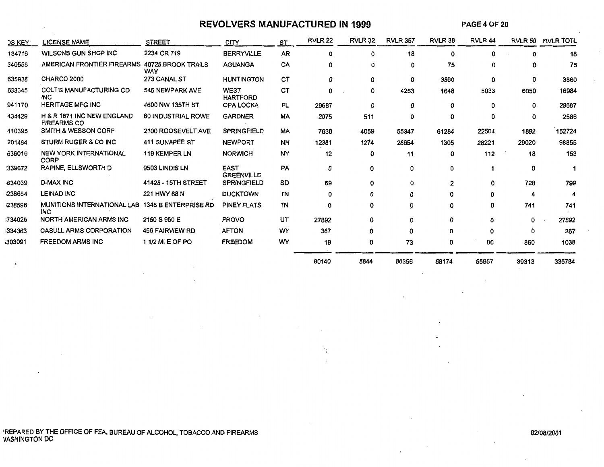#### **REVOLVERS MANUFACTURED IN 1999**

**PAGE4** OF 20

| <b>DS KEY</b> | <b>LICENSE NAME</b>                              | <b>STREET</b>               | CITY                             | <b>ST</b> | <b>RVLR 22</b> | <b>RVLR 32</b> | <b>RVLR 357</b> | RVLR 38 | RVLR <sub>44</sub> |          | RVLR 50 RVLR TOTL |
|---------------|--------------------------------------------------|-----------------------------|----------------------------------|-----------|----------------|----------------|-----------------|---------|--------------------|----------|-------------------|
| 134716        | WILSONS GUN SHOP INC                             | 2234 CR 719                 | <b>BERRYVILLE</b>                | <b>AR</b> | 0              | 0              | 18              | 0       | 0                  | $\Omega$ | 18                |
| 340558        | AMERICAN FRONTIER FIREARMS 40725 BROOK TRAILS    | <b>WAY</b>                  | <b>AGUANGA</b>                   | CA        | 0              | ٥              | 0               | 75      | 0                  | 0        | 75                |
| 635936        | CHARCO 2000                                      | 273 CANAL ST                | <b>HUNTINGTON</b>                | CТ        | 0              | 0              | 0               | 3860    | 0                  | 0        | 3860              |
| 633345        | <b>COLT'S MANUFACTURING CO</b><br><b>INC</b>     | 545 NEWPARK AVE             | <b>WEST</b><br><b>HARTFORD</b>   | CT        | 0              | 0              | 4253            | 1648    | 5033               | 6050     | 16984             |
| 941170        | <b>HERITAGE MFG INC</b>                          | 4600 NW 135TH ST            | <b>OPA LOCKA</b>                 | FL        | 29687          | 0              | 0               | 0       | 0                  | 0        | 29687             |
| 434429        | H & R 1871 INC NEW ENGLAND<br><b>FIREARMS CO</b> | 60 INDUSTRIAL ROWE          | <b>GARDNER</b>                   | <b>MA</b> | 2075           | 511            | 0               | 0       | 0                  | 0        | 2586              |
| 410395        | <b>SMITH &amp; WESSON CORP</b>                   | 2100 ROOSEVELT AVE          | <b>SPRINGFIELD</b>               | МA        | 7638           | 4059           | 55347           | 61284   | 22504              | 1892     | 152724            |
| 201484        | <b>STURM RUGER &amp; CO INC</b>                  | 411 SUNAPEE ST              | <b>NEWPORT</b>                   | NH        | 12381          | 1274           | 26654           | 1305    | 28221              | 29020    | 98855             |
| 636016        | <b>NEW YORK INTERNATIONAL</b><br>CORP            | <b>119 KEMPER LN</b>        | <b>NORWICH</b>                   | <b>NY</b> | 12             | 0              | 11              | 0       | 112                | 18       | 153               |
| 339672        | <b>RAPINE, ELLSWORTH D</b>                       | 9503 LINDIS LN              | <b>EAST</b><br><b>GREENVILLE</b> | PA        | 0              | 0              | 0               | 0       |                    | 0        |                   |
| -634039       | <b>D-MAX INC</b>                                 | 41428 - 15TH STREET         | <b>SPRINGFIELD</b>               | SD        | 69             | 0              | 0               | 2       | 0                  | 728      | 799               |
| 238654        | <b>LEINAD INC</b>                                | 221 HWY 68 N                | <b>DUCKTOWN</b>                  | TN        | 0              | 0              | 0               | 0       | 0                  |          | 4                 |
| 1238596       | MUNITIONS INTERNATIONAL LAB<br><b>INC</b>        | <b>1345 B ENTERPRISE RD</b> | <b>PINEY FLATS</b>               | <b>TN</b> | 0              | 0              | 0               | 0       | 0                  | 741      | 741               |
| 1734026       | <b>NORTH AMERICAN ARMS INC</b>                   | 2150 S 950 E                | <b>PROVO</b>                     | UT        | 27892          | $\Omega$       | 0               | 0       | Ω                  | 0        | 27892             |
| 1334363       | <b>CASULL ARMS CORPORATION</b>                   | <b>456 FAIRVIEW RD</b>      | <b>AFTON</b>                     | WY        | 367            | 0              | 0               | 0       | Ω                  | 0        | 367               |
| 1303091       | <b>FREEDOM ARMS INC</b>                          | 11/2 MI E OF PO             | <b>FREEDOM</b>                   | WY        | 19             | 0              | 73              | 0       | 86                 | 860      | 1038              |
|               |                                                  |                             |                                  |           | 80140          | 5844           | 86356           | 68174   | 55957              | 39313    | 335784            |

 $\sim$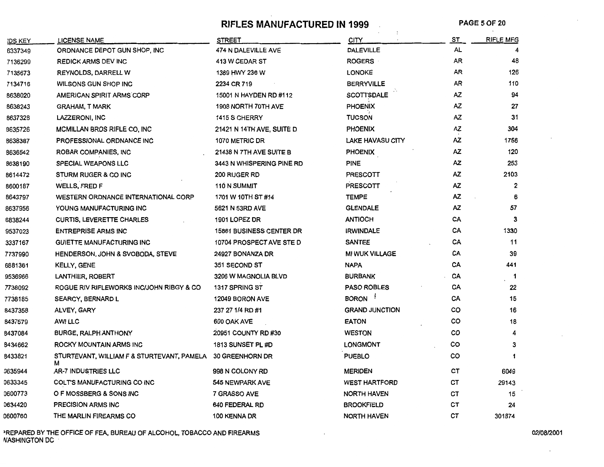**RIFLES MANUFACTURED IN 1999** PAGE 5 OF 20

| <b>DS KEY</b>  | <b>LICENSE NAME</b>                             | <b>STREET</b>                   | CITY                  | ST        | <b>RIFLE MFG</b> |
|----------------|-------------------------------------------------|---------------------------------|-----------------------|-----------|------------------|
| 6337349        | ORDNANCE DEPOT GUN SHOP, INC                    | 474 N DALEVILLE AVE             | <b>DALEVILLE</b>      | <b>AL</b> |                  |
| 7136299        | <b>REDICK ARMS DEV INC</b>                      | 413 W CEDAR ST                  | <b>ROGERS</b>         | AR        | 48               |
| 7135673        | <b>REYNOLDS, DARRELL W</b>                      | 1389 HWY 236 W                  | <b>LONOKE</b>         | AR        | 126              |
| 7134716        | WILSONS GUN SHOP INC                            | 2234 CR 719                     | <b>BERRYVILLE</b>     | AR        | 110              |
| 8638020        | AMERICAN SPIRIT ARMS CORP                       | 15001 N HAYDEN RD #112          | <b>SCOTTSDALE</b>     | ΑZ        | 94               |
| 8638243        | <b>GRAHAM, T MARK</b>                           | 1908 NORTH 70TH AVE             | <b>PHOENIX</b>        | ΑZ        | 27               |
| 8637328        | LAZZERONI, INC                                  | 1415 S CHERRY                   | <b>TUCSON</b>         | ΑZ        | 31               |
| 8635726        | MCMILLAN BROS RIFLE CO, INC                     | 21421 N 14TH AVE, SUITE D       | <b>PHOENIX</b>        | AZ.       | 304              |
| <b>B638387</b> | PROFESSIONAL ORDNANCE INC                       | 1070 METRIC DR                  | LAKE HAVASU CITY      | ΑZ        | 1756             |
| 8636542        | ROBAR COMPANIES, INC.                           | 21438 N 7TH AVE SUITE B         | <b>PHOENIX</b>        | ΑZ        | 120              |
| 8638190        | SPECIAL WEAPONS LLC                             | 3443 N WHISPERING PINE RD       | <b>PINE</b>           | <b>AZ</b> | 253              |
| 8614472        | STURM RUGER & CO INC                            | <b>200 RUGER RD</b>             | <b>PRESCOTT</b>       | ΑZ        | 2103             |
| 8600187        | WELLS, FRED F                                   | <b>110 N SUMMIT</b>             | <b>PRESCOTT</b>       | ΑZ        | $\overline{2}$   |
| 8643797        | <b>WESTERN ORDNANCE INTERNATIONAL CORP</b>      | 1701 W 10TH ST #14              | <b>TEMPE</b>          | AZ        | 6                |
| 8637956        | YOUNG MANUFACTURING INC                         | 5621 N 53RD AVE                 | <b>GLENDALE</b>       | AZ        | 57               |
| 6838244        | <b>CURTIS, LEVERETTE CHARLES</b>                | 1901 LOPEZ DR                   | <b>ANTIOCH</b>        | СA        | 3                |
| 9537023        | <b>ENTREPRISE ARMS INC</b>                      | <b>15861 BUSINESS CENTER DR</b> | <b>IRWINDALE</b>      | CA        | 1330             |
| 3337167        | GUIETTE MANUFACTURING INC                       | 10704 PROSPECT AVE STE D        | <b>SANTEE</b>         | CA        | 11               |
| 7737990        | HENDERSON, JOHN & SVOBODA, STEVE                | 24927 BONANZA DR                | <b>MI WUK VILLAGE</b> | CA        | 39               |
| 6881361        | KELLY, GENE                                     | 351 SECOND ST                   | <b>NAPA</b>           | CA        | 441              |
| 9536966        | LANTHIER, ROBERT                                | 3206 W MAGNOLIA BLVD            | <b>BURBANK</b>        | CA        | $\overline{1}$   |
| 7738092        | ROGUE RIV RIFLEWORKS INC/JOHN RIBGY & CO        | 1317 SPRING ST                  | <b>PASO ROBLES</b>    | CA        | 22               |
| 7738185        | <b>SEARCY, BERNARD L</b>                        | 12049 BORON AVE                 | BORON <sup>1</sup>    | CA        | 15               |
| 8437358        | ALVEY, GARY                                     | 237 27 1/4 RD #1                | <b>GRAND JUNCTION</b> | co        | 16               |
| 8437579        | <b>AWI LLC</b>                                  | 600 OAK AVE                     | <b>EATON</b>          | co        | 18               |
| B437084        | <b>BURGE, RALPH ANTHONY</b>                     | 20951 COUNTY RD #30             | <b>WESTON</b>         | co        | 4                |
| 8434662        | ROCKY MOUNTAIN ARMS INC                         | 1813 SUNSET PL #D               | <b>LONGMONT</b>       | co        | 3                |
| B433821        | STURTEVANT, WILLIAM F & STURTEVANT, PAMELA<br>М | <b>30 GREENHORN DR</b>          | <b>PUEBLO</b>         | co        | 1                |
| 0635944        | AR-7 INDUSTRIES LLC                             | 998 N COLONY RD                 | <b>MERIDEN</b>        | ст        | 6049             |
| 0633345        | COLT'S MANUFACTURING CO INC                     | 545 NEWPARK AVE                 | <b>WEST HARTFORD</b>  | cт        | 29143            |
| 0600773        | O F MOSSBERG & SONS INC                         | 7 GRASSO AVE                    | <b>NORTH HAVEN</b>    | ст        | 15               |
| 0634420        | PRECISION ARMS INC                              | 640 FEDERAL RD                  | <b>BROOKFIELD</b>     | CТ        | 24               |
| 0600760        | THE MARLIN FIREARMS CO                          | 100 KENNA DR                    | <b>NORTH HAVEN</b>    | CТ        | 301874           |

>REPARED BY THE OFFICE OF FEA, BUREAU OF ALCOHOL, TOBACCO AND FIREARMS 02/08/2001 NASHINGTON DC ·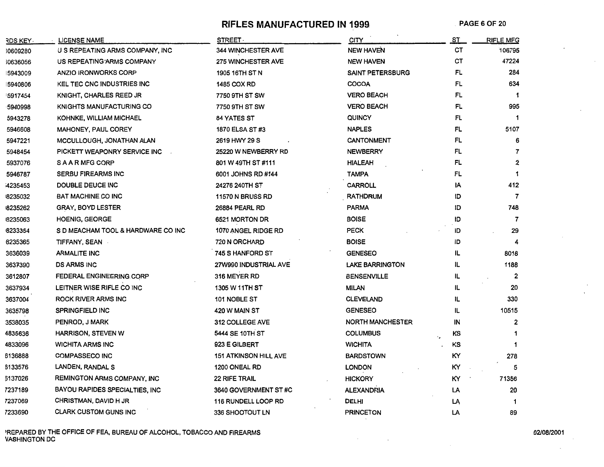**RIFLES MANUFACTURED IN 1999.** PAGE 6 OF 20

| RDS KEY -       | <b>LICENSE NAME</b>                | <b>STREET</b>                | <b>CITY</b>             | ST       | <b>RIFLE MFG</b>        |
|-----------------|------------------------------------|------------------------------|-------------------------|----------|-------------------------|
| 30609280        | U S REPEATING ARMS COMPANY, INC    | <b>344 WINCHESTER AVE</b>    | <b>NEW HAVEN</b>        | CТ       | 106795                  |
| <b>10636056</b> | US REPEATING ARMS COMPANY          | <b>275 WINCHESTER AVE</b>    | <b>NEW HAVEN</b>        | CТ       | 47224                   |
| 5943009         | <b>ANZIO IRONWORKS CORP</b>        | 1905 16TH ST N               | <b>SAINT PETERSBURG</b> | FL       | 284                     |
| 5940806         | <b>KEL TEC CNC INDUSTRIES INC</b>  | 1485 COX RD                  | COCOA                   | FL       | 634                     |
| 5917454         | <b>KNIGHT, CHARLES REED JR</b>     | 7750 9TH ST SW               | <b>VERO BEACH</b>       | FL       |                         |
| 5940998         | <b>KNIGHTS MANUFACTURING CO</b>    | 7750 9TH ST SW               | <b>VERO BEACH</b>       | FL       | 995                     |
| 5943278         | KOHNKE, WILLIAM MICHAEL            | <b>84 YATES ST</b>           | QUINCY                  | FL       |                         |
| 5946608         | <b>MAHONEY, PAUL COREY</b>         | 1870 ELSA ST#3               | <b>NAPLES</b>           | FL       | 5107                    |
| 5947221         | MCCULLOUGH, JONATHAN ALAN          | 2619 HWY 29 S                | <b>CANTONMENT</b>       | FL       |                         |
| 5948454         | PICKETT WEAPONRY SERVICE INC       | 25220 W NEWBERRY RD          | <b>NEWBERRY</b>         | FL       | 7                       |
| 5937076         | <b>SAARMFGCORP</b>                 | 801 W 49TH ST #111           | HIALEAH                 | FL       | $\overline{\mathbf{2}}$ |
| 5946787         | <b>SERBU FIREARMS INC</b>          | 6001 JOHNS RD #144           | TAMPA                   | FL       |                         |
| 4235453         | DOUBLE DEUCE INC                   | 24276 240TH ST               | <b>CARROLL</b>          | IA       | 412                     |
| 8235032         | <b>BAT MACHINE CO INC</b>          | <b>11570 N BRUSS RD</b>      | <b>RATHDRUM</b>         | ID       | $\overline{7}$          |
| 8235262         | <b>GRAY, BOYD LESTER</b>           | 26884 PEARL RD               | <b>PARMA</b>            | סו       | 748                     |
| 8235063         | <b>HOENIG, GEORGE</b>              | 6521 MORTON DR               | <b>BOISE</b>            | ID       | 7                       |
| 8233354         | S D MEACHAM TOOL & HARDWARE CO INC | 1070 ANGEL RIDGE RD          | PECK                    | ID       | 29                      |
| 8235365         | TIFFANY, SEAN                      | 720 N ORCHARD                | <b>BOISE</b>            | ID       |                         |
| 3636039         | <b>ARMALITE INC</b>                | 745 S HANFORD ST             | <b>GENESEO</b>          | IL.      | 8018                    |
| 3637390         | <b>DS ARMS INC</b>                 | 27W990 INDUSTRIAL AVE        | <b>LAKE BARRINGTON</b>  | IL       | 1188                    |
| 3612807         | <b>FEDERAL ENGINEERING CORP</b>    | 316 MEYER RD                 | BENSENVILLE             | IL       | $\mathbf{2}$            |
| 3637934         | LEITNER WISE RIFLE CO INC          | 1305 W 11TH ST               | <b>MILAN</b>            | IL       | 20                      |
| 3637004         | <b>ROCK RIVER ARMS INC</b>         | 101 NOBLE ST                 | <b>CLEVELAND</b>        | IL       | 330                     |
| 3635798         | <b>SPRINGFIELD INC</b>             | 420 W MAIN ST                | <b>GENESEO</b>          | IL       | 10515                   |
| 3538035         | PENROD, J MARK                     | 312 COLLEGE AVE              | <b>NORTH MANCHESTER</b> | IN       | $\mathbf{2}$            |
| 4835636         | <b>HARRISON, STEVEN W</b>          | 5444 SE 10TH ST              | <b>COLUMBUS</b>         | ΚS<br>٠, |                         |
| 4833096         | <b>WICHITA ARMS INC</b>            | 923 E GILBERT                | <b>WICHITA</b>          | κs       |                         |
| 6136888         | <b>COMPASSECO INC</b>              | <b>151 ATKINSON HILL AVE</b> | <b>BARDSTOWN</b>        | KΥ       | 278                     |
| 6133576         | LANDEN, RANDAL S                   | 1200 ONEAL RD                | <b>LONDON</b>           | KΥ       | 5                       |
| 6137026         | REMINGTON ARMS COMPANY, INC        | <b>22 RIFE TRAIL</b>         | <b>HICKORY</b>          | KY.      | 71356                   |
| 7237189         | BAYOU RAPIDES SPECIALTIES, INC     | 3640 GOVERNMENT ST#C         | <b>ALEXANDRIA</b>       | LA       | 20                      |
| 7237069         | CHRISTMAN, DAVID H JR              | <b>116 RUNDELL LOOP RD</b>   | <b>DELHI</b>            | LĄ       |                         |
| 7233690         | <b>CLARK CUSTOM GUNS INC</b>       | 336 SHOOTOUT LN              | <b>PRINCETON</b>        | LA       | 89                      |

'REPARED BY THE OFFICE OF FEA, BUREAU OF ALCOHOL, TOBACCO AND FIREARMS 02/08/2001 VASHINGTON DC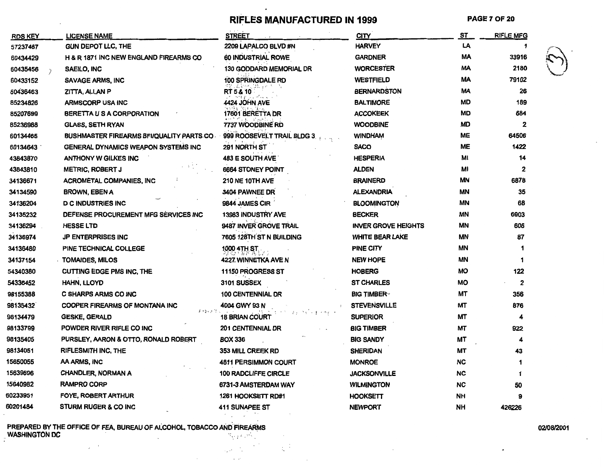# RIFLES MANUFACTURED IN 1999

**PAGE 7 OF 20** 

| <b>RDS KEY</b> | <b>LICENSE NAME</b>                       | <b>STREET</b>                  | <b>CITY</b>                | ST        | <b>RIFLE MFG</b> |
|----------------|-------------------------------------------|--------------------------------|----------------------------|-----------|------------------|
| 57237487       | <b>GUN DEPOT LLC, THE</b>                 | 2209 LAPALCO BLVD #N           | <b>HARVEY</b>              | LA        | 1                |
| 60434429       | H & R 1871 INC NEW ENGLAND FIREARMS CO    | 60 INDUSTRIAL ROWE             | <b>GARDNER</b>             | МA        | 33916            |
| 60435456       | SAEILO, INC                               | <b>130 GODDARD MEMORIAL DR</b> | <b>WORCESTER</b>           | MA        | 2180             |
| 60433152       | <b>SAVAGE ARMS, INC</b>                   | <b>100 SPRINGDALE RD</b>       | <b>WESTFIELD</b>           | MA        | 79102            |
| 60436463       | ZITTA, ALLAN P                            | RT 5 & 10                      | <b>BERNARDSTON</b>         | МA        | 26               |
| 85234826       | <b>ARMSCORP USA INC</b>                   | 4424 JOHN AVE                  | <b>BALTIMORE</b>           | MD        | 189              |
| 85207699       | BERETTA U S A CORPORATION                 | 17601 BERETTA DR               | <b>ACCOKEEK</b>            | MD        | 684              |
| 85236988       | <b>GLASS, SETH RYAN</b>                   | 7737 WOODBINE RD               | <b>WOODBINE</b>            | MD        | 2                |
| 60134465       | BUSHMASTER FIREARMS BFI/QUALITY PARTS CO. | 999 ROOSEVELT TRAIL BLDG 3     | <b>WINDHAM</b>             | ME        | 64506            |
| 60134643       | GENERAL DYNAMICS WEAPON SYSTEMS INC       | 291 NORTH ST                   | <b>SACO</b>                | MЕ        | 1422             |
| 43843870       | <b>ANTHONY W GILKES INC</b>               | <b>483 E SOUTH AVE</b>         | HESPERIA                   | MI        | 14               |
| 43843810       | <b>METRIC, ROBERT J</b>                   | 6664 STONEY POINT              | <b>ALDEN</b>               | Mi        | $\mathbf 2$      |
| 34136671       | <b>ACROMETAL COMPANIES, INC</b>           | <b>210 NE 10TH AVE</b>         | <b>BRAINERD</b>            | MΝ        | 6878             |
| 34134590       | BROWN, EBEN A                             | 3404 PAWNEE DR                 | <b>ALEXANDRIA</b>          | ΜN        | 35               |
| 34136204       | <b>D C INDUSTRIES INC.</b>                | 9844 JAMES CIR                 | <b>BLOOMINGTON</b>         | <b>MN</b> | 68               |
| 34135232       | DEFENSE PROCUREMENT MFG SERVICES INC      | <b>13983 INDUSTRY AVE</b>      | <b>BECKER</b>              | <b>MN</b> | 6903             |
| 34136294       | <b>HESSE LTD</b>                          | 9487 INVER GROVE TRAIL         | <b>INVER GROVE HEIGHTS</b> | ΜN        | 606              |
| 34136974       | <b>JP ENTERPRISES INC</b>                 | 7605 128TH ST N BUILDING       | WHITE BEAR LAKE            | <b>MN</b> | 87               |
| 34136480       | PINE TECHNICAL COLLEGE                    | 1000 4TH ST                    | PINE CITY                  | <b>MN</b> |                  |
| 34137154       | TOMAIDES, MILOS                           | 4227. WINNETKA AVE N           | <b>NEW HOPE</b>            | MΝ        | 1.               |
| 54340380       | <b>CUTTING EDGE PMS INC, THE</b>          | 11150 PROGRESS ST              | HOBERG                     | MO        | 122              |
| 54336452       | HAHN, LLOYD                               | 3101 SUSSEX                    | <b>ST CHARLES</b>          | <b>MO</b> | $\overline{2}$   |
| 98155388       | C SHARPS ARMS CO INC                      | <b>100 CENTENNIAL DR</b>       | <b>BIG TIMBER</b>          | MТ        | 356              |
| 98135432       | COOPER FIREARMS OF MONTANA INC            | 4004 GWY 93 N                  | <b>STEVENSVILLE</b>        | MТ        | 876              |
| 98134479       | 医烟火色紫云<br><b>GESKE, GERALD</b>            | <b>18 BRIAN COURT</b>          | <b>SUPERIOR</b>            | ΜТ        | 4                |
| 98133799       | POWDER RIVER RIFLE CO INC                 | <b>201 CENTENNIAL DR</b>       | <b>BIG TIMBER</b>          | МT        | 922              |
| 98135405       | PURSLEY, AARON & OTTO, RONALD ROBERT      | <b>BOX 336</b>                 | <b>BIG SANDY</b>           | МT        | 4                |
| 98134051       | RIFLESMITH INC, THE                       | 353 MILL CREEK RD              | <b>SHERIDAN</b>            | МT        | 43               |
| 15650055       | AA ARMS, INC                              | 4811 PERSIMMON COURT           | <b>MONROE</b>              | <b>NC</b> | 1                |
| 15639696       | <b>CHANDLER, NORMAN A</b>                 | <b>100 RADCLIFFE CIRCLE</b>    | <b>JACKSONVILLE</b>        | <b>NC</b> | 1                |
| 15640982       | <b>RAMPRO CORP</b>                        | 6731-3 AMSTERDAM WAY           | <b>WILMINGTON</b>          | <b>NC</b> | 50               |
| 60233951       | FOYE, ROBERT ARTHUR                       | 1261 HOOKSETT RD#1             | HOOKSETT                   | NΗ        | 9                |
| 60201484       | <b>STURM RUGER &amp; CO INC</b>           | <b>411 SUNAPEE ST</b>          | <b>NEWPORT</b>             | <b>NH</b> | 426226           |

 $\sim$ 

 $\sim 10^4$ 

 $\ddot{\phantom{0}}$ 

 $\gamma$  and  $\sim$   $\sim$ 

PREPARED BY THE OFFICE OF FEA, BUREAU OF ALCOHOL, TOBACCO AND FIREARMS<br>WASHINGTON DC Ny paositra 1  $\cdot$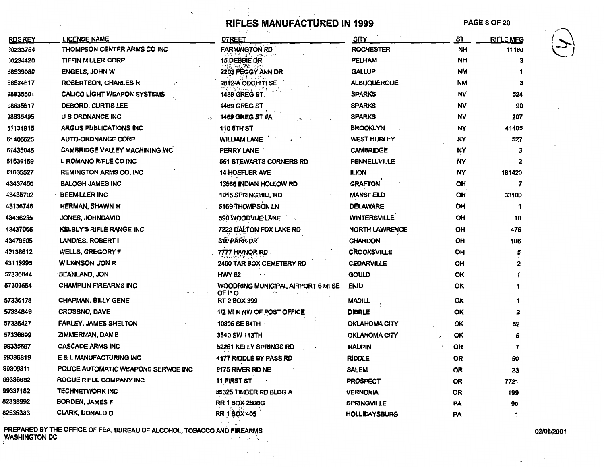医类 然后

 $\sim 10^{-11}$ 

|                |                                           | RIFLES MANUFACTURED IN 1999                  |                       | <b>PAGE 8 OF 20</b> |                  |  |
|----------------|-------------------------------------------|----------------------------------------------|-----------------------|---------------------|------------------|--|
| <b>RDS KEY</b> | <b>LICENSE NAME</b>                       | <b>STREET</b>                                | CITY                  | <u>ST</u>           | <b>RIFLE MFG</b> |  |
| 30233754       | THOMPSON CENTER ARMS CO INC               | <b>FARMINGTON RD</b>                         | <b>ROCHESTER</b>      | <b>NH</b>           | 11180            |  |
| 30234420       | <b>TIFFIN MILLER CORP</b>                 | <b>15 DEBBIE DR</b>                          | <b>PELHAM</b>         | NH                  | 3                |  |
| 58535080       | <b>ENGELS, JOHN W</b>                     | 2203 PEGGY ANN DR                            | <b>GALLUP</b>         | <b>NM</b>           |                  |  |
| 58534617       | <b>ROBERTSON, CHARLES R</b>               | 9812-A COCHITI SE                            | <b>ALBUQUERQUE</b>    | <b>NM</b>           | 3                |  |
| 38835501       | <b>CALICO LIGHT WEAPON SYSTEMS</b>        | 1489 GREG ST                                 | <b>SPARKS</b>         | NV                  | 524              |  |
| 98835517       | DEBORD, CURTIS LEE                        | <b>1469 GREG ST</b>                          | <b>SPARKS</b>         | <b>NV</b>           | 90               |  |
| 98835495       | U S ORDNANCE INC                          | <b>1469 GREG ST#A</b>                        | <b>SPARKS</b>         | <b>NV</b>           | 207              |  |
| 61134915       | <b>ARGUS PUBLICATIONS INC</b>             | <b>110 8TH ST</b>                            | <b>BROOKLYN</b>       | NY                  | 41405            |  |
| 61406625       | <b>AUTO-ORDNANCE CORP</b>                 | <b>WILLIAM LANE</b>                          | <b>WEST HURLEY</b>    | NY                  | 527              |  |
| 61435045       | <b>CAMBRIDGE VALLEY MACHINING INC</b>     | PERRY LANE                                   | <b>CAMBRIDGE</b>      | NY                  |                  |  |
| 61636169       | L ROMANO RIFLE CO INC                     | 551 STEWARTS CORNERS RD                      | <b>PENNELLVILLE</b>   | NY                  |                  |  |
| 61635527       | <b>REMINGTON ARMS CO, INC</b>             | <b>14 HOEFLER AVE</b>                        | <b>ILION</b>          | NY                  | 181420           |  |
| 43437450       | <b>BALOGH JAMES INC</b>                   | 13566 INDIAN HOLLOW RD                       | <b>GRAFTON</b>        | OH                  |                  |  |
| 43435702       | <b>BEEMILLER INC</b>                      | <b>1015 SPRINGMILL RD</b>                    | <b>MANSFIELD</b>      | OH                  | 33100            |  |
| 43136746       | <b>HERMAN, SHAWN M</b>                    | 5169 THOMPSON LN                             | <b>DELAWARE</b>       | OH                  |                  |  |
| 43436235       | JONES, JOHNDAVID                          | 590 WOODVUE LANE                             | <b>WINTERSVILLE</b>   | <b>OH</b>           | 10               |  |
| 43437065       | <b>KELBLY'S RIFLE RANGE INC</b>           | 7222 DALTON FOX LAKE RD                      | <b>NORTH LAWRENCE</b> | OH                  | 476              |  |
| 43479505       | <b>LANDIES, ROBERT I</b>                  | 310 PARK DR                                  | <b>CHARDON</b>        | OH                  | 106              |  |
| 43136612       | <b>WELLS, GREGORY F</b>                   | 7777 HIVNOR RD                               | <b>CROOKSVILLE</b>    | OH                  |                  |  |
| 43113995       | <b>WILKINSON, JON R</b>                   | 2400 TAR BOX CEMETERY RD                     | <b>CEDARVILLE</b>     | OH                  |                  |  |
| 57336844       | <b>BEANLAND, JON</b>                      | <b>HWY 62</b>                                | <b>GOULD</b>          | OK                  |                  |  |
| 57303554       | <b>CHAMPLIN FIREARMS INC</b><br>مران بلنة | WOODRING MUNICIPAL AIRPORT 6 MI SE<br>OF P O | <b>ENID</b>           | OK                  |                  |  |
| 57336178       | <b>CHAPMAN, BILLY GENE</b>                | RT 2 BOX 399                                 | <b>MADILL</b>         | OK                  |                  |  |
| 57334849       | <b>CROSSNO, DAVE</b>                      | 1/2 MIN NW OF POST OFFICE                    | <b>DIBBLE</b>         | OK                  | 2                |  |
| 57336427       | <b>FARLEY, JAMES SHELTON</b>              | 10805 SE 84TH                                | <b>OKLAHOMA CITY</b>  | OK                  | 52               |  |
| 57336699       | ZIMMERMAN, DAN B                          | 3840 SW 113TH                                | OKLAHOMA CITY         | OK                  |                  |  |
| 99335597       | <b>CASCADE ARMS INC</b>                   | 52261 KELLY SPRINGS RD                       | <b>MAUPIN</b>         | <b>OR</b>           |                  |  |
| 99336819       | E & L MANUFACTURING INC                   | 4177 RIDDLE BY PASS RD                       | <b>RIDDLE</b>         | <b>OR</b>           | 60               |  |
| 99309311       | POLICE AUTOMATIC WEAPONS SERVICE INC      | 8175 RIVER RD NE                             | <b>SALEM</b>          | OR                  | 23               |  |
| 99336982       | ROGUE RIFLE COMPANY INC                   | 11 FIRST ST                                  | <b>PROSPECT</b>       | OR                  | 7721             |  |
| 99337182       | <b>TECHNETWORK INC</b>                    | 55325 TIMBER RD BLDG A                       | <b>VERNONIA</b>       | <b>OR</b>           | 199              |  |
| 82338992       | BORDEN, JAMES F                           | <b>RR.1 BOX 250BC</b>                        | <b>SPRINGVILLE</b>    | PA                  | 90               |  |
| 82535333       | <b>CLARK, DONALD D</b>                    | <b>RR 1 BOX 405</b>                          | <b>HOLLIDAYSBURG</b>  | PA                  | 1                |  |
|                |                                           |                                              |                       |                     |                  |  |

PREPARED BY THE OFFICE OF FEA, BUREAU OF ALCOHOL, TOBACCO AND FIREARMS ON A CONSTRUCTION ON A CONSTRUCTION ON A CONSTRUCTION ON A CONSTRUCTION ON A CONSTRUCTION ON A CONSTRUCTION ON A CONSTRUCTION ON A CONSTRUCTION ON A CO WASHINGTON DC  $\blacksquare$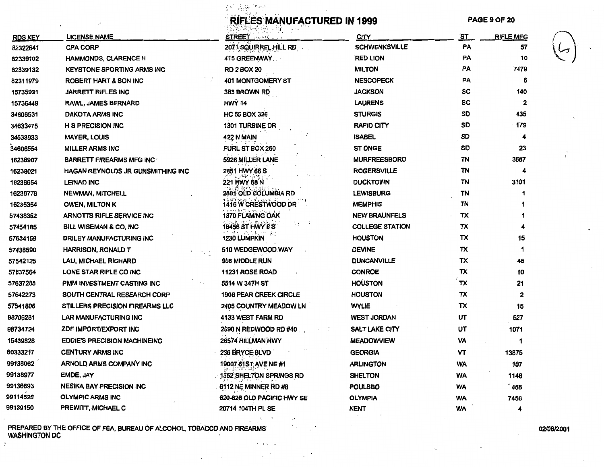$\frac{1}{\alpha} \mathbf{v}^{\prime} = \frac{1}{\alpha} \sum_{i=1}^{N} \frac{\mathbf{v}^{\alpha}}{2} \mathbf{v}^{\alpha}$ 

# **RIFLES MANUFACTURED IN 1999 PAGE 9 OF 20**

|                |                                        | )읽는, '제안 - (hope) (hope) - (hope) - (h |                        |           |                      |
|----------------|----------------------------------------|----------------------------------------|------------------------|-----------|----------------------|
| <b>RDS KEY</b> | LICENSE NAME                           | <b>STREET Allence</b>                  | <u>CITY</u>            | <u>ST</u> | <u>RIFLE MFG</u>     |
| 82322641       | <b>CPA CORP</b>                        | 2071 SQUIRREL HILL RD                  | <b>SCHWENKSVILLE</b>   | PA        | 57                   |
| 82339102       | <b>HAMMONDS, CLARENCE H</b>            | 415 GREENWAY                           | <b>RED LION</b>        | PA        | 10                   |
| 82339132       | <b>KEYSTONE SPORTING ARMS INC</b>      | <b>RD 2 BOX 20</b>                     | <b>MILTON</b>          | <b>PA</b> | 7479                 |
| 82311979       | <b>ROBERT HART &amp; SON INC</b>       | <b>401 MONTGOMERY ST</b>               | <b>NESCOPECK</b>       | PA        | 6                    |
| 15735931       | <b>JARRETT RIFLES INC</b>              | 383 BROWN RD                           | <b>JACKSON</b>         | <b>SC</b> | 140                  |
| 15736449       | <b>RAWL, JAMES BERNARD</b>             | <b>HWY 14</b>                          | <b>LAURENS</b>         | sc        | $\mathbf{2}$         |
| 34606531       | DAKOTA ARMS INC                        | <b>HC 55 BOX 326</b>                   | <b>STURGIS</b>         | SD        | 435                  |
| 34633475       | <b>H S PRECISION INC</b>               | <b>1301 TURBINE DR</b>                 | <b>RAPID CITY</b>      | SD        | $\cdot$ 179          |
| 34633933       | <b>MAYER, LOUIS</b>                    | <b>422 N MAIN</b>                      | <b>ISABEL</b>          | SD        | $\blacktriangleleft$ |
| 34606554       | <b>MILLER ARMS INC</b>                 | PURL ST BOX 260                        | <b>ST ONGE</b>         | SD        | 23                   |
| 16236907       | <b>BARRETT FIREARMS MFG INC</b>        | 5926 MILLER LANE                       | <b>MURFREESBORO</b>    | ΤN        | 3687                 |
| 16238021       | HAGAN REYNOLDS JR GUNSMITHING INC      | 2851 HWY 66 S                          | <b>ROGERSVILLE</b>     | TN        | 4                    |
| 16238654       | <b>LEINAD INC</b>                      | 221 HWY 68 N                           | <b>DUCKTOWN</b>        | <b>TN</b> | 3101                 |
| 16238778       | <b>NEWMAN, MITCHELL</b>                | 2881 OLD COLUMBIA RD                   | <b>LEWISBURG</b>       | TN        | 1                    |
| 16235354       | <b>OWEN, MILTON K</b>                  | 1416 W CRESTWOOD DR                    | <b>MEMPHIS</b>         | ΤN        |                      |
| 57438362       | <b>ARNOTTS RIFLE SERVICE INC</b>       | <b>1370 FLAMING OAK</b>                | <b>NEW BRAUNFELS</b>   | TX        |                      |
| 57454185       | <b>BILL WISEMAN &amp; CO. INC.</b>     | 18456 ST HWY 6 S                       | <b>COLLEGE STATION</b> | TX        |                      |
| 57634159       | <b>BRILEY MANUFACTURING INC</b>        | <b>1230 LUMPKIN</b>                    | <b>HOUSTON</b>         | TX        | 15                   |
| 57438590       | HARRISON, RONALD T<br>مديعاته          | 510 WEDGEWOOD WAY                      | <b>DEVINE</b>          | TX        | 1                    |
| 57542125       | LAU, MICHAEL RICHARD                   | 906 MIDDLE RUN                         | <b>DUNCANVILLE</b>     | TX        | 45                   |
| 57637564       | LONE STAR RIFLE CO INC                 | <b>11231 ROSE ROAD</b>                 | <b>CONROE</b>          | TX        | 10                   |
| 57637288       | PMM INVESTMENT CASTING INC             | 5514 W 34TH ST                         | <b>HOUSTON</b>         | TX        | 21                   |
| 57642273       | SOUTH CENTRAL RESEARCH CORP            | 1906 PEAR CREEK CIRCLE                 | <b>HOUSTON</b>         | TX        | 2                    |
| 57541806       | <b>STILLERS PRECISION FIREARMS LLC</b> | 2405 COUNTRY MEADOW LN                 | <b>WYLIE</b>           | TX        | 15                   |
| 98706281       | LAR MANUFACTURING INC                  | 4133 WEST FARM RD                      | <b>WEST JORDAN</b>     | UT        | 527                  |
| 98734724       | ZDF IMPORT/EXPORT INC                  | 2090 N REDWOOD RD #40                  | SALT LAKE CITY         | UT        | 1071                 |
| 15439828       | <b>EDDIE'S PRECISION MACHINEINC</b>    | 26574 HILLMAN HWY                      | <b>MEADOWVIEW</b>      | VA        | 1                    |
| 60333217       | <b>CENTURY ARMS INC</b>                | 236 BRYCE BLVD                         | GEORGIA                | v٢        | 13875                |
| 99138062       | <b>ARNOLD ARMS COMPANY INC</b>         | 19007 61ST AVE NE#1                    | <b>ARLINGTON</b>       | WA        | 107                  |
| 99138977       | EMDE, JAY                              | 1352 SHELTON SPRINGS RD                | <b>SHELTON</b>         | WA        | 1146                 |
| 99136693       | <b>NESIKA BAY PRECISION INC</b>        | 6112 NE MINNER RD #8                   | <b>POULSBO</b>         | WA        | 468                  |
| 99114520       | <b>OLYMPIC ARMS INC</b>                | 620-626 OLD PACIFIC HWY SE             | <b>OLYMPIA</b>         | <b>WA</b> | 7456                 |
| 99139150       | PREWITT, MICHAEL C                     | 20714 104TH PL SE                      | <b>KENT</b>            | WA        | 4                    |

 $\sigma = \gamma \gamma \gamma$  ,  $\gamma \gamma$  $\cdot$  $\sim$ 

PREPARED BY THE OFFICE OF FEA, BUREAU OF ALCOHOL, TOBACCO AND FIREARMS WASHINGTON DC

÷.

02/08/2001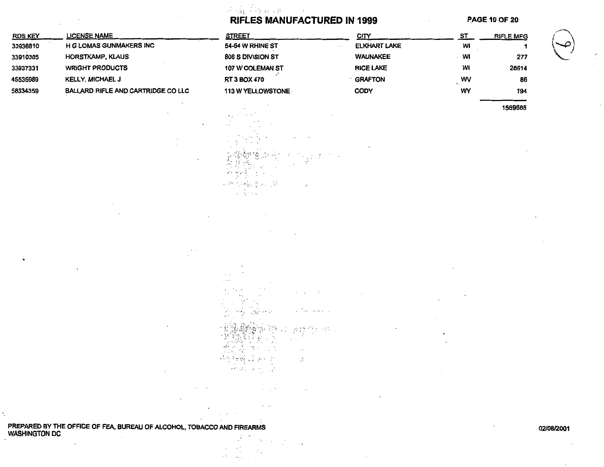$\mathcal{A} = \frac{1}{2} \sqrt{2} \left( \frac{1}{2} \sum_{i=1}^{n} \frac{1}{2} \sum_{j=1}^{n} \frac{1}{2} \sum_{j=1}^{n} \frac{1}{2} \sum_{j=1}^{n} \frac{1}{2} \sum_{j=1}^{n} \frac{1}{2} \sum_{j=1}^{n} \frac{1}{2} \sum_{j=1}^{n} \frac{1}{2} \sum_{j=1}^{n} \frac{1}{2} \sum_{j=1}^{n} \frac{1}{2} \sum_{j=1}^{n} \frac{1}{2} \sum_{j=1}^{n} \frac{1}{2} \sum_{j$ 

 $\mathbf{v}$ 

小塚 セマ

13. W NG 2011.<br>Ngjarje

 $\sim$   $^{\prime}$ 

and and

 $\sim$ 

**我的帮** 

부산 아직 날 봐? 보

 $\label{eq:reduced} \mathcal{F}^{(p)}(\mathcal{Q}_{\mathcal{A}}) = \mathcal{P}^{(p)}(\mathcal{Q}_{\mathcal{A}}) \geq \mathcal{C}$ 

燃料 地名美国卡尔 - 71

一种不稀土的 园 a Georg

 $\sim$   $\sim$  $\sim$  $\mathbf{v}$  $\alpha$  ,  $\beta$  ,  $\alpha$  ,  $\alpha$ 

Ŵ.

Ņ.  $\sim \epsilon_c$ 

 $\mathcal{L} \rightarrow \mathcal{L}$ 

 $\mathcal{L}^{\mathcal{C}}(t)$  $\frac{\partial \mathcal{S}}{\partial \mathcal{S}} \frac{\partial \mathcal{S}}{\partial \mathcal{S}} = \frac{1}{2} \frac{\partial \mathcal{S}}{\partial \mathcal{S}} \frac{\partial \mathcal{S}}{\partial \mathcal{S}} \frac{\partial \mathcal{S}}{\partial \mathcal{S}} \,.$ 

 $\mathcal{C}$ 

Service.

### **RIFLES MANUFACTURED IN 1999**

 $\mathcal{L} = -\mathcal{L}$ 

 $\sim$ 

 $\mathcal{L}$ 

 $\rightarrow$ 

 $\sqrt{\frac{2}{3}}$  Signal spectra  $\sqrt{\frac{2}{3}}$ 

 $\label{eq:2} \frac{\partial}{\partial t} \frac{\partial \mathcal{L}^{\mathbf{A}}_{\mathbf{A}} \mathcal{L}^{\mathbf{A}}_{\mathbf{A}} \left( \mathcal{L}^{\mathbf{A}}_{\mathbf{A}} \right) \mathcal{L}^{\mathbf{A}}_{\mathbf{A}} \left( \mathcal{L}^{\mathbf{A}}_{\mathbf{A}} \right) \mathcal{L}^{\mathbf{A}}_{\mathbf{A}} \left( \mathcal{L}^{\mathbf{A}}_{\mathbf{A}} \right) \mathcal{L}^{\mathbf{A}}_{\mathbf{A}} \left( \mathcal{L}^{\mathbf{A}}_{\mathbf{A$ 

 $\cdot$ 

**PAGE 10 OF 20** 

| <b>RDS KEY</b> | <b>LICENSE NAME</b>                 |
|----------------|-------------------------------------|
| 33936810       | <b>H G LOMAS GUNMAKERS INC</b>      |
| 33910305       | <b>HORSTKAMP, KLAUS</b>             |
| 33937331       | <b>WRIGHT PRODUCTS</b>              |
| 45535989       | <b>KELLY, MICHAEL J</b>             |
| 58334359       | BALLARD RIFLE AND CARTRIDGE CO LLC. |

| <b>STREET</b>            | <b>CITY</b>            | SТ       | <b>RIFLE MFG</b> |
|--------------------------|------------------------|----------|------------------|
| 54-64 W RHINE ST         | <b>ELKHART LAKE</b>    | WI       |                  |
| 806 S DIVISION ST        | <b><i>WAUNAKEE</i></b> | WI       | 277              |
| 107 W COLEMAN ST         | <b>RICE LAKE</b>       | WI       | 28614            |
| <b>RT 3 BOX 470</b>      | <b>GRAFTON</b>         | wv<br>۰. | 86               |
| <b>113 W YELLOWSTONE</b> | <b>CODY</b>            | WY       | 194              |
|                          |                        |          |                  |

1569685

PREPARED BY THE OFFICE OF FEA, BUREAU OF ALCOHOL, TOBACCO AND FIREARMS **WASHINGTON DC** 医中间的

 $\lambda$ 

02/08/2001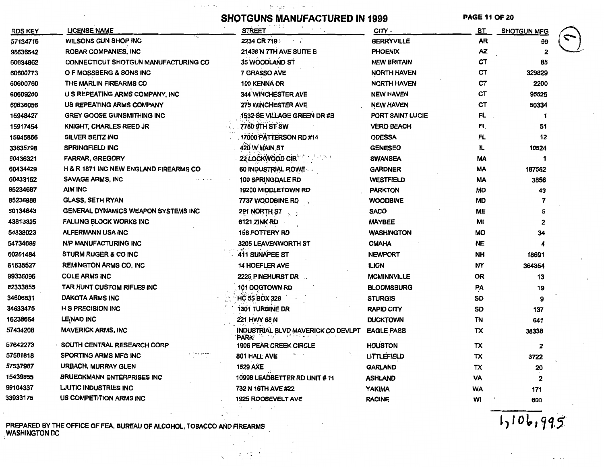$\label{eq:2.1} \frac{\mathfrak{h}_{\mathbf{B}}}{\mathfrak{h}_{\mathbf{B}}} = \frac{\mathfrak{h}_{\mathbf{B}}}{\mathfrak{h}_{\mathbf{B}}} = \frac{\mathfrak{h}_{\mathbf{B}}}{\mathfrak{h}_{\mathbf{B}}} = \frac{\mathfrak{h}_{\mathbf{B}}}{\mathfrak{h}_{\mathbf{B}}} = \frac{\mathfrak{h}_{\mathbf{B}}}{\mathfrak{h}_{\mathbf{B}}} = \frac{\mathfrak{h}_{\mathbf{B}}}{\mathfrak{h}_{\mathbf{B}}} = \frac{\mathfrak{h}_{\mathbf{B}}}{\mathfrak{h}_{\mathbf{B}}} = \$  $\alpha$  . In a section  $\alpha$ 

# **SHOTGUNS MANUFACTURED IN 1999**

**PAGE 11 OF 20** 

| G  |  |
|----|--|
| )g |  |

| <b>RDS KEY</b> | <b>LICENSE NAME</b>                         | <b>STREET</b>                              | CITY -             | ST.       | <b>SHOTGUN MFG</b> |  |
|----------------|---------------------------------------------|--------------------------------------------|--------------------|-----------|--------------------|--|
| 57134716       | WILSONS GUN SHOP INC                        | 2234 CR 719 2234                           | <b>BERRYVILLE</b>  | <b>AR</b> | 99                 |  |
| 98636542       | <b>ROBAR COMPANIES, INC</b>                 | 21438 N 7TH AVE SUITE B                    | <b>PHOENIX</b>     | AZ        | 2                  |  |
| 60634862       | <b>CONNECTICUT SHOTGUN MANUFACTURING CO</b> | 35 WOODLAND ST                             | <b>NEW BRITAIN</b> | СT        | 85                 |  |
| 60600773       | O F MOSSBERG & SONS INC.                    | 7 GRASSO AVE                               | NORTH HAVEN        | СT        | 329829             |  |
| 60600760       | THE MARLIN FIREARMS CO                      | 100 KENNA DR                               | NORTH HAVEN        | СŤ        | 2200               |  |
| 60609280       | U S REPEATING ARMS COMPANY, INC             | <b>344 WINCHESTER AVE</b>                  | <b>NEW HAVEN</b>   | СT        | 95625              |  |
| 60636056       | US REPEATING ARMS COMPANY                   | 275 WINCHESTER AVE                         | <b>NEW HAVEN</b>   | CТ        | 50334              |  |
| 15948427       | <b>GREY GOOSE GUNSMITHING INC</b>           | 1532 SE VILLAGE GREEN DR #B                | PORT SAINT LUCIE   | FL.       | 1                  |  |
| 15917454       | <b>KNIGHT, CHARLES REED JR</b>              | 7750 9TH ST SW                             | <b>VERO BEACH</b>  | <b>FL</b> | 51                 |  |
| 15945866       | SILVER SEITZ INC                            | 17000 PATTERSON RD #14                     | <b>ODESSA</b>      | <b>FL</b> | 12                 |  |
| 33635798       | <b>SPRINGFIELD INC</b>                      | 420 W MAIN ST                              | <b>GENESEO</b>     | 儿         | 10524              |  |
| 60436321       | <b>FARRAR, GREGORY</b>                      | 22 LOCKWOOD CIR                            | <b>SWANSEA</b>     | MA        |                    |  |
| 60434429       | H & R 1871 INC NEW ENGLAND FIREARMS CO      | 60 INDUSTRIAL ROWE                         | <b>GARDNER</b>     | МA        | 187562             |  |
| 60433152       | <b>SAVAGE ARMS, INC</b>                     | 100 SPRINGDALE RD                          | <b>WESTFIELD</b>   | МA        | 3856               |  |
| 85234687       | <b>AIM INC</b>                              | 19200 MIDDLETOWN RD                        | <b>PARKTON</b>     | MD        | 43                 |  |
| 85236988       | <b>GLASS, SETH RYAN</b>                     | 7737 WOODBINE RD                           | <b>WOODBINE</b>    | <b>MD</b> |                    |  |
| 60134643       | GENERAL DYNAMICS WEAPON SYSTEMS INC         | 291 NORTH ST                               | <b>SACO</b>        | ME        | 5                  |  |
| 43813395       | <b>FALLING BLOCK WORKS INC</b>              | <b>6121 ZINK RD</b>                        | <b>MAYBEE</b>      | MI        | 2                  |  |
| 54338023       | ALFERMANN USA INC                           | <b>156 POTTERY RD</b>                      | <b>WASHINGTON</b>  | MO        | 34                 |  |
| 54734686       | <b>NIP MANUFACTURING INC</b>                | 3205 LEAVENWORTH ST                        | <b>OMAHA</b>       | <b>NE</b> |                    |  |
| 60201484       | <b>STURM RUGER &amp; CO INC</b>             | 411 SUNAPEE ST                             | <b>NEWPORT</b>     | NH        | 18691              |  |
| 61635527       | <b>REMINGTON ARMS CO, INC</b>               | <b>14 HOEFLER AVE</b>                      | <b>ILION</b>       | NΥ        | 364354             |  |
| 99335096       | <b>COLE ARMS INC</b>                        | 2225 PINEHURST DR                          | <b>MCMINNVILLE</b> | OR        | 13                 |  |
| 82333855       | TAR HUNT CUSTOM RIFLES INC                  | 101 DOGTOWN RD                             | <b>BLOOMSBURG</b>  | PA        | 19                 |  |
| 34606531       | DAKOTA ARMS INC                             | <b>HC 55 BOX 326</b>                       | <b>STURGIS</b>     | SD        | 9                  |  |
| 34633475       | <b>H S PRECISION INC</b>                    | 1301 TURBINE DR                            | RAPID CITY         | SD        | 137                |  |
| 16238654       | LEINAD INC                                  | 221 HWY 68 N                               | <b>DUCKTOWN</b>    | TN        | 641                |  |
| 57434208       | <b>MAVERICK ARMS, INC</b>                   | INDUSTRIAL BLVD MAVERICK CO DEVLPT<br>PARK | <b>EAGLE PASS</b>  | TX        | 38338              |  |
| 57642273       | SOUTH CENTRAL RESEARCH CORP                 | <b>1906 PEAR CREEK CIRCLE</b>              | <b>HOUSTON</b>     | TX        | 2                  |  |
| 57581818       | SPORTING ARMS MFG INC                       | 801 HALL AVE                               | LITTLEFIELD        | тх        | 3722               |  |
| 57537987       | URBACH, MURRAY GLEN                         | <b>1529 AXE</b>                            | <b>GARLAND</b>     | TX        | 20                 |  |
| 15439855       | <b>BRUECKMANN ENTERPRISES INC</b>           | 10998 LEADBETTER RD UNIT #11               | <b>ASHLAND</b>     | VA        | 2                  |  |
| 99104337       | <b>LJUTIC INDUSTRIES INC</b>                | 732 N 16TH AVE #22                         | <b>YAKIMA</b>      | WA        | 171                |  |
| 33933175       | US COMPETITION ARMS INC                     | 1925 ROOSEVELT AVE                         | <b>RACINE</b>      | wı        | 600                |  |

第二天祭兵

PREPARED BY THE OFFICE OF FEA, BUREAU OF ALCOHOL, TOBACCO AND FIREARMS WASHINGTON DC

 $1,106,995$ 

 $\sim$   $\sim$   $\sim$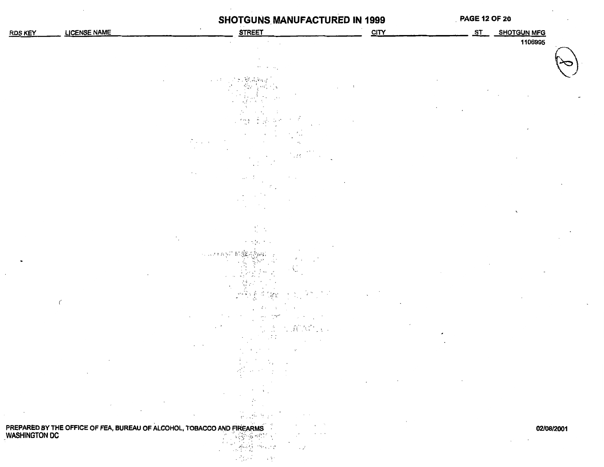## **SHOTGUNS MANUFACTURED IN 1999**

#### **PAGE 12 OF 20**

| <b>RDS KEY</b>   | <b>LICENSE NAME</b> | $\cdot$                                                                                                  | <b>STREET</b>                                                                           | <b>CITY</b> | ST | <b>SHOTGUN MFG</b> |  |
|------------------|---------------------|----------------------------------------------------------------------------------------------------------|-----------------------------------------------------------------------------------------|-------------|----|--------------------|--|
|                  |                     |                                                                                                          |                                                                                         |             |    | 1106995            |  |
|                  |                     |                                                                                                          |                                                                                         |             |    |                    |  |
|                  |                     |                                                                                                          | the controller.                                                                         |             |    |                    |  |
|                  |                     | $\alpha \rightarrow 0.5$                                                                                 | $\gamma$ , $\gamma$<br>in 19                                                            |             |    |                    |  |
|                  |                     |                                                                                                          |                                                                                         |             |    |                    |  |
|                  |                     |                                                                                                          | 医囊头病                                                                                    |             |    |                    |  |
|                  |                     |                                                                                                          | $\frac{2\pi\sqrt{3}}{2}$<br>$\mathbf{v} = \mathbf{v}$                                   |             |    |                    |  |
|                  |                     |                                                                                                          | t.,                                                                                     |             |    |                    |  |
|                  |                     | $\mathcal{P}(\mathcal{L}^{\mathcal{L}}(\mathcal{L}^{\mathcal{L}}))$                                      | $\cdot\cdot$<br>$\cdots$                                                                |             |    |                    |  |
|                  |                     |                                                                                                          | $12\%$<br>$\cdot$ .                                                                     |             |    |                    |  |
|                  |                     | $\sim 100$                                                                                               | $\mu$ , $\lambda$<br>$\mathcal{F}=\mathcal{F}$                                          |             |    |                    |  |
|                  |                     |                                                                                                          |                                                                                         |             |    |                    |  |
|                  |                     |                                                                                                          | $\sim$                                                                                  |             |    |                    |  |
|                  |                     |                                                                                                          |                                                                                         |             |    | $\sqrt{2}$         |  |
|                  |                     |                                                                                                          | $\frac{1}{\lambda_1}=\frac{1}{\lambda_1}$                                               |             |    |                    |  |
|                  |                     |                                                                                                          | かんないかい                                                                                  |             |    |                    |  |
|                  |                     | 化三氯乙基羟                                                                                                   |                                                                                         |             |    |                    |  |
|                  |                     |                                                                                                          | 建築部長<br>全国部長<br>$\mathcal{F}$                                                           |             |    |                    |  |
|                  |                     |                                                                                                          |                                                                                         |             |    |                    |  |
|                  |                     |                                                                                                          |                                                                                         |             |    |                    |  |
|                  | $\acute{\rm{c}}$    |                                                                                                          | $\ddot{\epsilon}$                                                                       |             |    |                    |  |
|                  |                     |                                                                                                          | 77                                                                                      |             |    |                    |  |
|                  |                     |                                                                                                          | VANCIA (<br>$\sim$<br>$\sim$                                                            |             |    |                    |  |
|                  |                     |                                                                                                          | $\sim$<br>$\sim$<br>$\mathcal{D}$                                                       |             |    |                    |  |
|                  |                     |                                                                                                          | $\mathcal{L}^{\text{max}}_{\text{max}}$ , where $\mathcal{L}^{\text{max}}_{\text{max}}$ |             |    |                    |  |
|                  | $\cdot$             |                                                                                                          | $\sigma_{\rm{eff}}^2 \sim 10^{-10}$ .<br>$\sim$ $\tilde{z}$<br>$\sim$                   |             |    |                    |  |
|                  |                     |                                                                                                          |                                                                                         |             |    |                    |  |
|                  |                     |                                                                                                          | Ω.                                                                                      |             |    |                    |  |
| $\sim$<br>$\sim$ |                     | $\cdot$                                                                                                  | $\cdot$<br>$\sim$                                                                       |             |    |                    |  |
|                  |                     |                                                                                                          | $\sigma_{\rm eff} \stackrel{\rm def.}{=} \delta_{\rm eff}$                              |             |    | 02/08/2001         |  |
|                  |                     | PREPARED BY THE OFFICE OF FEA, BUREAU OF ALCOHOL, TOBACCO AND FIREARMS<br>MASHINGTON DC<br>MASHINGTON DC | $\sim$                                                                                  |             |    |                    |  |
|                  |                     |                                                                                                          | ائي د                                                                                   |             |    |                    |  |
|                  |                     |                                                                                                          | 网络东西 经                                                                                  |             |    |                    |  |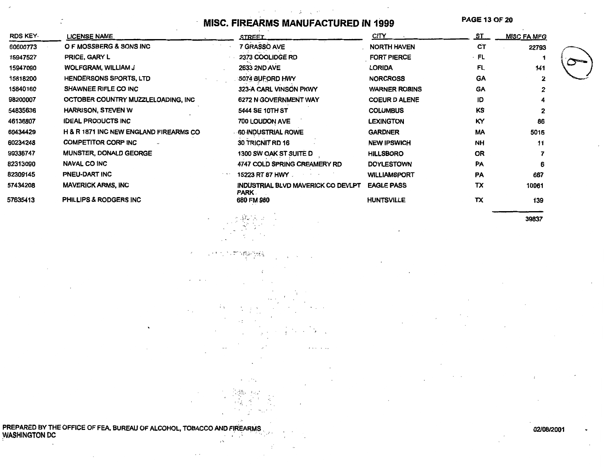#### $\tau=-\vec{j}_\tau$  . **MISC. FIREARMS MANUFACTURED IN 1999**

and the state

 $\sim$ 

**PAGE 13 OF 20** 

| RDS KEY- | <b>LICENSE NAME</b>                    | <b>STREET</b>                                            | CITY                 | ST.       | <b>MISC FA MFG</b> |  |
|----------|----------------------------------------|----------------------------------------------------------|----------------------|-----------|--------------------|--|
| 60600773 | O F MOSSBERG & SONS INC                | 7 GRASSO AVE                                             | <b>NORTH HAVEN</b>   | CТ        | 22793              |  |
| 15947527 | PRICE, GARY L                          | 2373 COOLIDGE RD                                         | <b>FORT PIERCE</b>   | · FL      |                    |  |
| 15947090 | WOLFGRAM, WILLIAM J                    | <b>2633 2ND AVE</b>                                      | LORIDA               | <b>FL</b> | 141                |  |
| 15818200 | <b>HENDERSONS SPORTS, LTD</b>          | 5074 BUFORD HWY                                          | <b>NORCROSS</b>      | <b>GA</b> |                    |  |
| 15840160 | <b>SHAWNEE RIFLE CO INC</b>            | 323-A CARL VINSON PKWY                                   | <b>WARNER ROBINS</b> | GA        |                    |  |
| 98200007 | OCTOBER COUNTRY MUZZLELOADING, INC     | 6272 N GOVERNMENT WAY                                    | <b>COEUR D ALENE</b> | ID        |                    |  |
| 54835636 | <b>HARRISON, STEVEN W</b>              | <b>5444 SE 10TH ST</b>                                   | <b>COLUMBUS</b>      | KS        |                    |  |
| 46136807 | <b>IDEAL PRODUCTS INC</b>              | 700 LOUDON AVE                                           | <b>LEXINGTON</b>     | KΥ        | 86                 |  |
| 60434429 | H & R 1871 INC NEW ENGLAND FIREARMS CO | <b>60-INDUSTRIAL ROWE</b>                                | <b>GARDNER</b>       | MA        | 5015               |  |
| 60234248 | <b>COMPETITOR CORP INC</b>             | 30 TRICNIT RD 16                                         | <b>NEW IPSWICH</b>   | <b>NH</b> | 11                 |  |
| 99336747 | MUNSTER, DONALD GEORGE                 | 1300 SW OAK ST SUITE D                                   | <b>HILLSBORO</b>     | <b>OR</b> |                    |  |
| 82313090 | <b>NAVAL CO INC</b>                    | 4747 COLD SPRING CREAMERY RD                             | <b>DOYLESTOWN</b>    | <b>PA</b> | 6                  |  |
| 82309145 | PNEU-DART INC                          | 15223 RT 87 HWY                                          | <b>WILLIAMSPORT</b>  | <b>PA</b> | 667                |  |
| 57434208 | <b>MAVERICK ARMS, INC.</b>             | <b>INDUSTRIAL BLVD MAVERICK CO DEVLPT</b><br><b>PARK</b> | <b>EAGLE PASS</b>    | TX        | 10961              |  |
| 57635413 | PHILLIPS & RODGERS INC                 | 680 FM 980                                               | <b>HUNTSVILLE</b>    | TX        | 139                |  |

39837

PREPARED BY THE OFFICE OF FEA, BUREAU OF ALCOHOL, TOBACCO AND FIREARMS WASHINGTON DC  $\lambda$ 

 $\mathbf{r}$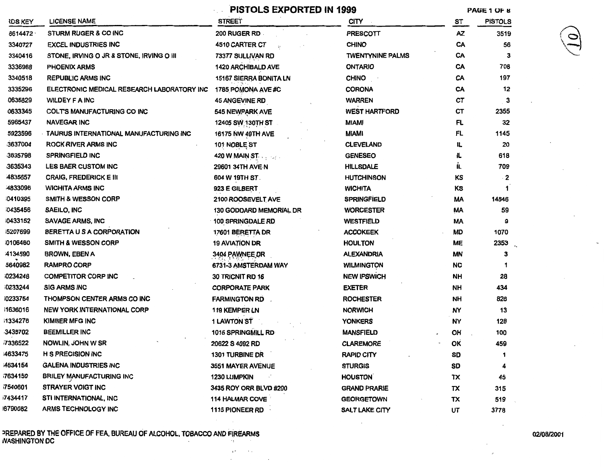|                |                                            | <b>PISTOLS EXPORTED IN 1999</b> | PAGE 1 OF 8                  |           |                |
|----------------|--------------------------------------------|---------------------------------|------------------------------|-----------|----------------|
| <b>IDS KEY</b> | <b>LICENSE NAME</b>                        | <b>STREET</b>                   | <b>CITY</b><br>$\sim$ $\sim$ | ST        | <b>PISTOLS</b> |
| 8614472        | <b>STURM RUGER &amp; CO INC</b>            | <b>200 RUGER RD</b>             | <b>PRESCOTT</b>              | AZ        | 3519           |
| 3340727        | <b>EXCEL INDUSTRIES INC</b>                | 4510 CARTER CT                  | <b>CHINO</b>                 | CA        | 56             |
| 3340416        | STONE, IRVING O JR & STONE, IRVING O III   | 73377 SULLIVAN RD               | <b>TWENTYNINE PALMS</b>      | CA        | з              |
| 3336988        | <b>PHOENIX ARMS</b>                        | <b>1420 ARCHIBALD AVE</b>       | <b>ONTARIO</b>               | CA        | 708            |
| 3340518        | <b>REPUBLIC ARMS INC</b>                   | 15167 SIERRA BONITA LN          | <b>CHINO</b>                 | CA        | 197            |
| 3335296        | ELECTRONIC MEDICAL RESEARCH LABORATORY INC | 1785 POMONA AVE #C              | <b>CORONA</b>                | CA        | 12             |
| 0635829        | <b>WILDEY F A INC</b>                      | <b>45 ANGEVINE RD</b>           | <b>WARREN</b>                | СT        | 3              |
| 0633345        | COLTS MANUFACTURING CO INC                 | 545 NEWPARK AVE                 | <b>WEST HARTFORD</b>         | СT        | 2355           |
| 5965437        | <b>NAVEGAR INC</b>                         | 12405 SW 130TH ST               | MIAMI                        | FL.       | 32             |
| 5923596        | TAURUS INTERNATIONAL MANUFACTURING INC     | 16175 NW 49TH AVE               | <b>MIAMI</b>                 | FL.       | 1145           |
| 3637004        | ROCK RIVER ARMS INC                        | 101 NOBLE ST                    | <b>CLEVELAND</b>             | IL.       | 20             |
| 3635798        | <b>SPRINGFIELD INC</b>                     | 420 W MAIN ST                   | <b>GENESEO</b>               | IL.       | 618            |
| 3635343        | <b>LES BAER CUSTOM INC</b>                 | 29601 34TH AVE N                | <b>HILLSDALE</b>             | IL.       | 709            |
| 4835657        | <b>CRAIG, FREDERICK E III</b>              | 604 W 19TH ST.                  | <b>HUTCHINSON</b>            | κs        | 2              |
| 4833096        | <b>WICHITA ARMS INC</b>                    | 923 E GILBERT                   | <b>WICHITA</b>               | κs        |                |
| 0410395        | <b>SMITH &amp; WESSON CORP</b>             | 2100 ROOSEVELT AVE              | <b>SPRINGFIELD</b>           | МA        | 14846          |
| 0435456        | SAEILO, INC                                | <b>130 GODDARD MEMORIAL DR</b>  | <b>WORCESTER</b>             | MA        | 59             |
| 0433152        | SAVAGE ARMS, INC                           | <b>100 SPRINGDALE RD</b>        | <b>WESTFIELD</b>             | MA        | 9              |
| 5207699        | BERETTA U S A CORPORATION                  | 17601 BERETTA DR                | <b>ACCOKEEK</b>              | MD        | 1070           |
| 0106460        | <b>SMITH &amp; WESSON CORP</b>             | <b>19 AVIATION DR</b>           | <b>HOULTON</b>               | MΕ        | 2353           |
| 4134590        | <b>BROWN, EBEN A</b>                       | 3404 PAWNEE DR                  | <b>ALEXANDRIA</b>            | <b>MN</b> | з              |
| 5640982        | <b>RAMPRO CORP</b>                         | 6731-3 AMSTERDAM WAY            | <b>WILMINGTON</b>            | NC.       | 1              |
| 0234248        | <b>COMPETITOR CORP INC</b>                 | 30 TRICNIT RD 16                | <b>NEW IPSWICH</b>           | NH        | 28             |
| 0233244        | <b>SIG ARMS INC</b>                        | <b>CORPORATE PARK</b>           | <b>EXETER</b>                | NH        | 434            |
| 0233754        | THOMPSON CENTER ARMS CO INC                | <b>FARMINGTON RD</b>            | <b>ROCHESTER</b>             | <b>NH</b> | 828            |
| 1636016        | <b>NEW YORK INTERNATIONAL CORP</b>         | <b>119 KEMPER LN</b>            | <b>NORWICH</b>               | NY        | 13             |
| i1334276       | KIMBER MFG INC                             | 1 LAWTON ST                     | <b>YONKERS</b>               | NY        | 128            |
| 3435702        | <b>BEEMILLER INC</b>                       | 1015 SPRINGMILL RD              | <b>MANSFIELD</b>             | OH        | 100            |
| 7336522        | NOWLIN, JOHN W SR                          | 20622 S 4092 RD                 | <b>CLAREMORE</b>             | ΟК        | 459            |
| 4633475        | H S PRECISION INC                          | 1301 TURBINE DR                 | <b>RAPID CITY</b>            | SD        | 1              |
| 4634154        | <b>GALENA INDUSTRIES INC</b>               | 3551 MAYER AVENUE               | <b>STURGIS</b>               | SD        |                |
| 7634159        | <b>BRILEY MANUFACTURING INC</b>            | 1230 LUMPKIN<br>$\cdot$         | <b>HOUSTON</b>               | TX        | 45             |
| 7540601        | <b>STRAYER VOIGT INC</b>                   | 3435 ROY ORR BLVD #200          | <b>GRAND PRARIE</b>          | TΧ        | 315            |
| 7434417        | STI INTERNATIONAL, INC                     | 114 HALMAR COVE                 | <b>GEORGETOWN</b>            | ΤХ        | 519            |
| 8790082        | <b>ARMS TECHNOLOGY INC</b>                 | 1115 PIONEER RD                 | SALT LAKE CITY               | ШT        | 3778           |

PREPARED BY THE OFFICE OF FEA, BUREAU OF ALCOHOL, TOBACCO AND FIREARMS WASHINGTON DC

#### 02/08/2001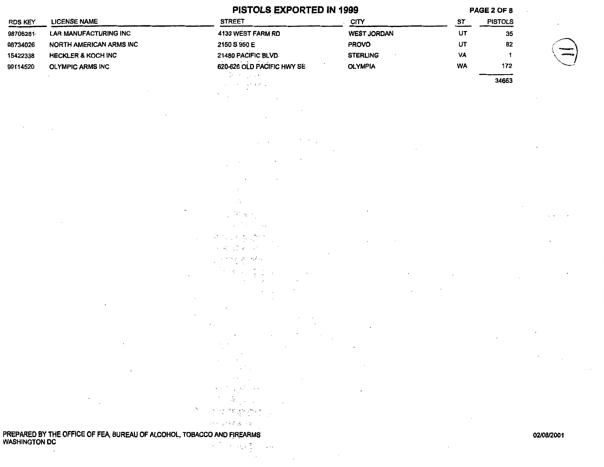|                |                                                                        | PISTOLS EXPORTED IN 1999                                                                                                                                                                                                                                              |                   |                   | PAGE 2 OF 8    |                   |
|----------------|------------------------------------------------------------------------|-----------------------------------------------------------------------------------------------------------------------------------------------------------------------------------------------------------------------------------------------------------------------|-------------------|-------------------|----------------|-------------------|
| <b>RDS KEY</b> | <b>LICENSE NAME</b>                                                    | <b>STREET</b>                                                                                                                                                                                                                                                         | CITY              | <b>ST</b>         | <b>PISTOLS</b> |                   |
| 98706281       | <b>LAR MANUFACTURING INC</b>                                           | 4133 WEST FARM RD                                                                                                                                                                                                                                                     | WEST JORDAN       | UT                | 35             |                   |
| 98734026       | NORTH AMERICAN ARMS INC                                                | 2150 S 950 E                                                                                                                                                                                                                                                          | <b>PROVO</b>      | UT                | 82             |                   |
| 15422338       | <b>HECKLER &amp; KOCH INC</b>                                          | 21480 PACIFIC BLVD.                                                                                                                                                                                                                                                   | <b>STERLING</b>   | VA                | $\mathbf{1}$   |                   |
| 99114520       | <b>OLYMPIC ARMS INC</b>                                                | 620-626 OLD PACIFIC HWY SE                                                                                                                                                                                                                                            | <b>OLYMPIA</b>    | <b>WA</b>         | 172            |                   |
|                |                                                                        | $\Delta \phi$ , where $\phi$                                                                                                                                                                                                                                          |                   |                   | 34663          |                   |
|                |                                                                        | control of the East Car<br>$\sim$                                                                                                                                                                                                                                     |                   |                   |                |                   |
|                |                                                                        |                                                                                                                                                                                                                                                                       |                   |                   |                |                   |
|                |                                                                        |                                                                                                                                                                                                                                                                       |                   |                   |                |                   |
|                |                                                                        |                                                                                                                                                                                                                                                                       |                   |                   |                |                   |
|                |                                                                        |                                                                                                                                                                                                                                                                       |                   |                   |                |                   |
|                |                                                                        |                                                                                                                                                                                                                                                                       |                   |                   |                |                   |
|                |                                                                        |                                                                                                                                                                                                                                                                       |                   |                   |                |                   |
|                |                                                                        | $\cdot$                                                                                                                                                                                                                                                               |                   |                   |                |                   |
|                |                                                                        |                                                                                                                                                                                                                                                                       |                   |                   |                |                   |
|                |                                                                        |                                                                                                                                                                                                                                                                       |                   |                   |                |                   |
|                |                                                                        | Ω.                                                                                                                                                                                                                                                                    |                   |                   |                |                   |
|                |                                                                        | $\langle P_{\rm c},\eta_{\rm c}\rangle$ .                                                                                                                                                                                                                             |                   |                   |                |                   |
|                |                                                                        | $\sim$ 100 $\pm$<br>$\cdots$                                                                                                                                                                                                                                          |                   |                   |                |                   |
|                |                                                                        |                                                                                                                                                                                                                                                                       |                   |                   |                |                   |
|                |                                                                        | 3 - 1996 A.C.<br>$\label{eq:2} \mathcal{L} = \mathcal{L}_{\mathrm{R}}^2 = \mathcal{L}_{\mathrm{R}}^2 \mathcal{L}_{\mathrm{R}}^2 = \mathcal{L}_{\mathrm{R}}^2 \mathcal{L}_{\mathrm{R}}^2$                                                                              |                   |                   |                |                   |
|                |                                                                        |                                                                                                                                                                                                                                                                       |                   |                   |                |                   |
|                |                                                                        | ਜਨਮ ਨੂੰ ਅਜਿ                                                                                                                                                                                                                                                           |                   |                   |                |                   |
|                |                                                                        | $\mathcal{R} \subset \mathcal{R}$<br>$\omega_{\rm{max}}$                                                                                                                                                                                                              |                   |                   |                |                   |
|                |                                                                        |                                                                                                                                                                                                                                                                       |                   |                   |                |                   |
|                |                                                                        |                                                                                                                                                                                                                                                                       |                   |                   |                |                   |
|                |                                                                        |                                                                                                                                                                                                                                                                       |                   |                   |                |                   |
|                |                                                                        |                                                                                                                                                                                                                                                                       |                   |                   |                |                   |
|                |                                                                        |                                                                                                                                                                                                                                                                       |                   |                   |                |                   |
|                | $\cdot$                                                                | $\cdots$<br>$\sim$ $\sim$                                                                                                                                                                                                                                             |                   |                   |                |                   |
|                |                                                                        | $\sim 10^{-1}$<br>$\sim$                                                                                                                                                                                                                                              |                   |                   |                |                   |
|                |                                                                        | <b>Contractor</b><br><b>Contractor</b>                                                                                                                                                                                                                                | $\sim$            |                   |                |                   |
|                | $\sqrt{2}$                                                             | $\sim 100$<br><b>Contractor</b>                                                                                                                                                                                                                                       |                   |                   |                |                   |
|                |                                                                        | $\sigma$ , we can express the contribution of $\sigma$                                                                                                                                                                                                                | <b>Contractor</b> |                   |                |                   |
|                | $\sim$                                                                 | $\label{eq:R1} \frac{d}{d\mathbf{x}}\left(\frac{\partial}{\partial x}\right) = 1.$                                                                                                                                                                                    |                   |                   |                |                   |
|                |                                                                        | $\mathcal{P} = \mathcal{P}^{\mathcal{P}}_{\mathcal{P}} = \mathcal{P}^{\mathcal{P}}_{\mathcal{P}} \mathcal{P}^{\mathcal{P}}_{\mathcal{P}} = \mathcal{P}^{\mathcal{P}}_{\mathcal{P}} \mathcal{P}^{\mathcal{P}}_{\mathcal{P}} = \mathcal{P}^{\mathcal{P}}_{\mathcal{P}}$ |                   |                   |                |                   |
|                |                                                                        | 计加工程序计划                                                                                                                                                                                                                                                               |                   | <b>Contractor</b> |                |                   |
|                | PREPARED BY THE OFFICE OF FEA. BURFAU OF ALCOHOL TORACCO AND FIREARMS. |                                                                                                                                                                                                                                                                       |                   |                   |                | <b>NO/NR/2001</b> |

 $\mathcal{L}^{\text{max}}_{\text{max}}$ 

אטטט אוזט רווקב ъ. **WASHINGTON DC** ÷.

#### 02/08/2001

 $\sim 100$ 

 $\sim$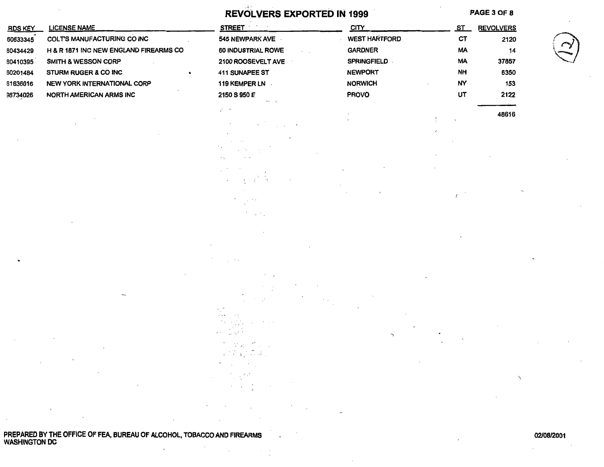|                                  |                                                                                                         | $\sim$ 4 $^{-1}$<br>REVOLVERS EXPORTED IN 1999                                                                                                                                                     |                                                              |                | PAGE 3 OF 8         |  |
|----------------------------------|---------------------------------------------------------------------------------------------------------|----------------------------------------------------------------------------------------------------------------------------------------------------------------------------------------------------|--------------------------------------------------------------|----------------|---------------------|--|
| <b>RDS KEY</b>                   | <b>LICENSE NAME</b>                                                                                     | <b>STREET</b>                                                                                                                                                                                      | <b>CITY</b>                                                  | <u>ST</u>      | <b>REVOLVERS</b>    |  |
| 60633345<br>60434429<br>60410395 | COLT'S MANUFACTURING CO INC<br>H & R 1871 INC NEW ENGLAND FIREARMS CO<br><b>SMITH &amp; WESSON CORP</b> | 545 NEWPARK AVE<br>60 INDUSTRIAL ROWE<br>$\sim$ $-$ .<br>2100 ROOSEVELT AVE                                                                                                                        | <b>WEST HARTFORD</b><br><b>GARDNER</b><br><b>SPRINGFIELD</b> | CT<br>MA<br>MA | 2120<br>14<br>37857 |  |
| 50201484                         | STURM RUGER & CO INC                                                                                    | 411 SUNAPEE ST                                                                                                                                                                                     | <b>NEWPORT</b>                                               | <b>NH</b>      | 6350                |  |
| 61636016                         | NEW YORK INTERNATIONAL CORP                                                                             | 119 KEMPER LN ·                                                                                                                                                                                    | <b>NORWICH</b>                                               | <b>NY</b>      | 153                 |  |
| 98734026                         | NORTH AMERICAN ARMS INC                                                                                 | 2150 S 950 É                                                                                                                                                                                       | <b>PROVO</b>                                                 | UT             | 2122                |  |
|                                  |                                                                                                         | V. C                                                                                                                                                                                               |                                                              |                | 48616               |  |
|                                  |                                                                                                         |                                                                                                                                                                                                    |                                                              |                |                     |  |
|                                  |                                                                                                         |                                                                                                                                                                                                    |                                                              |                |                     |  |
|                                  |                                                                                                         | キーゴー 付                                                                                                                                                                                             |                                                              |                |                     |  |
|                                  |                                                                                                         | $\sim 100$<br>$\sim$ $\sim$                                                                                                                                                                        |                                                              | $\sqrt{2}$     |                     |  |
|                                  |                                                                                                         |                                                                                                                                                                                                    |                                                              |                |                     |  |
|                                  |                                                                                                         |                                                                                                                                                                                                    |                                                              |                |                     |  |
|                                  |                                                                                                         | $\cdots$                                                                                                                                                                                           |                                                              |                |                     |  |
|                                  | $\sim 100$ km s $^{-1}$<br>$\Delta \phi = 0.01$ and $\Delta \phi = 0.01$                                | 2000<br>$-1$<br>in politi<br>Gerti<br>$\mathbf{z}$ , and $\mathbf{z}$<br>t vantuur<br>Võetsi Aas<br>$\mathcal{L}_{\mathrm{max}}$                                                                   | ٦<br>$\sim 10^{-10}$ km s $^{-1}$                            |                |                     |  |
|                                  | and the company<br><b>Contract</b>                                                                      | $\frac{1}{2} \frac{1}{2} \sum_{i=1}^{N-1} \frac{1}{2} \sum_{i=1}^{N-1}$<br>$\label{eq:2.1} \mathcal{A}^{\mu\nu} = \mathcal{A}^{\mu\nu} = \sum_{i=1}^n \mathcal{A}^{\mu\nu} = \mathcal{A}^{\mu\nu}$ |                                                              |                | $\diagup$           |  |
|                                  |                                                                                                         |                                                                                                                                                                                                    |                                                              |                |                     |  |

 $\lambda$ 

PREPARED BY THE OFFICE OF FEA, BUREAU OF ALCOHOL, TOBACCO AND FIREARMS<br>WASHINGTON DC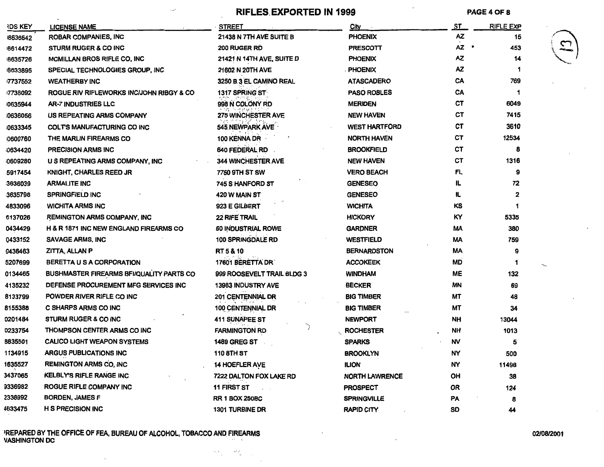**RIFLES.EXPORTED IN 1999** PAGE40F 8

 $\sim$ 

|  | ٠ |  |
|--|---|--|
|  |   |  |
|  |   |  |

| <b>IDS KEY</b> | <b>LICENSE NAME</b>                      | <b>STREET</b>                    | City                 | <u>ST</u> | <b>RIFLE EXP</b> |
|----------------|------------------------------------------|----------------------------------|----------------------|-----------|------------------|
| 8636542        | ROBAR COMPANIES, INC                     | 21438 N 7TH AVE SUITE B          | <b>PHOENIX</b>       | <b>AZ</b> | 15               |
| 8614472        | <b>STURM RUGER &amp; CO INC</b>          | 200 RUGER RD                     | <b>PRESCOTT</b>      |           | 453              |
| 8635726        | MCMILLAN BROS RIFLE CO, INC              | <b>21421 N 14TH AVE, SUITE D</b> | <b>PHOENIX</b>       | ΑZ        | 14               |
| 8633895        | SPECIAL TECHNOLOGIES GROUP, INC.         | 21602 N 20TH AVE                 | <b>PHOENIX</b>       | ΑZ        | 1                |
| 17737552       | <b>WEATHERBY INC</b>                     | 3250 B 3 EL CAMINO REAL          | <b>ATASCADERO</b>    | CA        | 769              |
| 17738092       | ROGUE RIV RIFLEWORKS INCUOHN RIBGY & CO  | <b>1317 SPRING ST</b>            | <b>PASO ROBLES</b>   | CA        | 1                |
| 0635944        | AR-7 INDUSTRIES LLC                      | 998 N COLONY RD                  | <b>MERIDEN</b>       | CТ        | 6049             |
| 0636056        | US REPEATING ARMS COMPANY                | <b>275 WINCHESTER AVE</b>        | <b>NEW HAVEN</b>     | CТ        | 7415             |
| 0633345        | COLT'S MANUFACTURING CO INC              | 545 NEWPARK AVE                  | <b>WEST HARTFORD</b> | СT        | 3610             |
| 0600760        | THE MARLIN FIREARMS CO                   | 100 KENNA DR                     | <b>NORTH HAVEN</b>   | СT        | 12534            |
| i0634420       | <b>PRECISION ARMS INC</b>                | 640 FEDERAL RD                   | <b>BROOKFIELD</b>    | CT        | 8                |
| 0609280        | U S REPEATING ARMS COMPANY, INC          | <b>344 WINCHESTER AVE</b>        | <b>NEW HAVEN</b>     | СT        | 1316             |
| 5917454        | KNIGHT, CHARLES REED JR                  | 7750 9TH ST SW                   | <b>VERO BEACH</b>    | FL        | 9                |
| 3636039        | <b>ARMALITE INC</b>                      | 745 S HANFORD ST                 | <b>GENESEO</b>       | IL        | 72               |
| 3635798        | <b>SPRINGFIELD INC</b>                   | 420 W MAIN ST                    | <b>GENESEO</b>       | łL.       | 2                |
| 4833096        | <b>WICHITA ARMS INC</b>                  | 923 E GILBERT                    | <b>WICHITA</b>       | КS        | 1                |
| 6137026        | <b>REMINGTON ARMS COMPANY, INC</b>       | <b>22 RIFE TRAIL</b>             | <b>HICKORY</b>       | ΚY        | 5335             |
| 0434429        | H & R 1871 INC NEW ENGLAND FIREARMS CO   | 60 INDUSTRIAL ROWE               | <b>GARDNER</b>       | MA        | 380              |
| 0433152        | SAVAGE ARMS, INC                         | <b>100 SPRINGDALE RD</b>         | <b>WESTFIELD</b>     | MА        | 759              |
| 0436463        | ZITTA, ALLAN P                           | RT 5 & 10                        | <b>BERNARDSTON</b>   | МA        | 9                |
| 5207699        | BERETTA U S A CORPORATION                | 17601 BERETTA DR                 | <b>ACCOKEEK</b>      | MD        | -1               |
| 0134465        | BUSHMASTER FIREARMS BFI/QUALITY PARTS CO | 999 ROOSEVELT TRAIL BLDG 3       | <b>WINDHAM</b>       | ME        | 132              |
| 4135232        | DEFENSE PROCUREMENT MFG SERVICES INC     | <b>13983 INDUSTRY AVE</b>        | <b>BECKER</b>        | <b>MN</b> | 69               |
| 8133799        | POWDER RIVER RIFLE CO INC                | 201 CENTENNIAL DR                | <b>BIG TIMBER</b>    | МT        | 48               |
| 8155388        | C SHARPS ARMS CO INC                     | 100 CENTENNIAL DR                | <b>BIG TIMBER</b>    | МT        | 34               |
| 0201484        | <b>STURM RUGER &amp; CO INC</b>          | 411 SUNAPEE ST                   | <b>NEWPORT</b>       | NΗ        | 13044            |
| 0233754        | THOMPSON CENTER ARMS CO INC              | <b>FARMINGTON RD</b>             | <b>ROCHESTER</b>     | ΝH        | 1013             |
| 8835501        | <b>CALICO LIGHT WEAPON SYSTEMS</b>       | <b>1489 GREG ST</b>              | <b>SPARKS</b>        | NV        | 5                |
| 1134915        | <b>ARGUS PUBLICATIONS INC</b>            | 110 8TH ST                       | <b>BROOKLYN</b>      | NΥ        | 500              |
| 1635527        | <b>REMINGTON ARMS CO, INC</b>            | <b>14 HOEFLER AVE</b>            | <b>ILION</b>         | ٨Y        | 11498            |
| 3437065        | <b>KELBLY'S RIFLE RANGE INC</b>          | 7222 DALTON FOX LAKE RD          | NORTH LAWRENCE       | OH        | 38               |
| 9336982        | ROGUE RIFLE COMPANY INC                  | 11 FIRST ST                      | <b>PROSPECT</b>      | 0R        | 124              |
| 2338992        | <b>BORDEN, JAMES F</b>                   | <b>RR 1 BOX 250BC</b>            | <b>SPRINGVILLE</b>   | PA        | 8                |
| 4633475        | <b>H S PRECISION INC</b>                 | <b>1301 TURBINE DR</b>           | <b>RAPID CITY</b>    | SD        | 44               |

1 REPARED BY THE OFFICE OF FEA, BUREAU OF ALCOHOL, TOBACCO AND. FIREARMS VASHINGTON DC

 $\mathcal{D}_{\mathcal{A}}$ 

 $\sim 2\sigma_{\rm g}$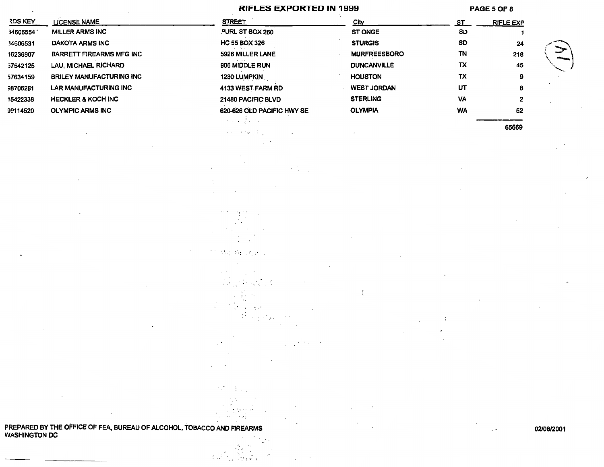#### RIFLES EXPORTED IN 1999

 $\mathcal{H}^1(\mathbb{C}^n)$  .

 $\frac{1}{2} \left( \frac{1}{2} \right) \left( \frac{1}{2} \right) \left( \frac{1}{2} \right) \left( \frac{1}{2} \right) \left( \frac{1}{2} \right) \left( \frac{1}{2} \right)$ 

 $\overline{(\ }$ 

-.

عجلوان والمالا

 $\epsilon \leq \epsilon$ 

 $\chi^2$  and

 $\mathcal{F}(\mathcal{C}_1)$ 

÷,

 $\pm$   $\pm$ 

17

**T**  $\cdot$  . H.  $\epsilon$  $\sim$  $\left\langle \left( \nabla^2 \phi^2_{\alpha \beta} - \nabla^2 \phi^2_{\beta \beta} \right) \right\rangle_{\alpha \beta} \left( \nabla^2 \phi^2_{\beta \beta} \right) \right\rangle_{\alpha \beta}$ 

 $\label{eq:1} \begin{split} \mathcal{L}_{\text{eff}}(\mathbf{r}) = \mathcal{L}_{\text{eff}}(\mathbf{r}) + \mathcal{L}_{\text{eff}}(\mathbf{r}) \mathcal{L}_{\text{eff}}(\mathbf{r}) \end{split}$ ; '

> $\mathcal{A}^{\mathcal{A}}$  and  $\mathcal{A}^{\mathcal{A}}$  $\lambda^2 \rightarrow \pm \pm \pi \mu \nu$

 $\sim$ 

 $1.3<sup>2</sup>$  ,  $1.3<sup>2</sup>$  ,  $1.3<sup>2</sup>$ 

 $\sim 10^{-11}$  $\sim$  100  $\sigma$  $\sim$ 

PAGE 5 OF 8

02/08/2001

 $\mathcal{L}^{\mathcal{A}}$ 

| <b>RDS KEY</b> | <b>LICENSE NAME</b>             | <b>STREET</b>              |
|----------------|---------------------------------|----------------------------|
| 34606554       | <b>MILLER ARMS INC</b>          | PURL ST BOX 260            |
| 34606531       | DAKOTA ARMS INC                 | <b>HC 55 BOX 326</b>       |
| 16236907       | <b>BARRETT FIREARMS MFG INC</b> | 5926 MILLER LANE           |
| 57542125       | LAU, MICHAEL RICHARD            | 906 MIDDLE RUN             |
| 57634159       | <b>BRILEY MANUFACTURING INC</b> | 1230 LUMPKIN               |
| 38706281       | <b>LAR MANUFACTURING INC</b>    | 4133 WEST FARM RD          |
| 15422338       | <b>HECKLER &amp; KOCH INC</b>   | 21480 PACIFIC BLVD         |
| 99114520       | <b>OLYMPIC ARMS INC</b>         | 620-626 OLD PACIFIC HWY SE |

| ٠<br><u>City</u>              | <u>ST</u> | <b>RIFLE EXP</b> |  |
|-------------------------------|-----------|------------------|--|
| <b>ST ONGE</b>                | <b>SD</b> |                  |  |
| <b>STURGIS</b>                | SD        | 24               |  |
| <b>MURFREESBORO</b><br>٠      | TN        | 218              |  |
| <b>DUNCANVILLE</b>            | TX        | 45               |  |
| ٠<br><b>HOUSTON</b>           | TX        | 9                |  |
| <b>WEST JORDAN</b><br>$\cdot$ | UT        | 8                |  |
| <b>STERLING</b>               | <b>VA</b> | 2                |  |
| <b>OLYMPIA</b>                | <b>WA</b> | 52               |  |
|                               |           | 65669            |  |

 $\lambda$ 

PREPARED BY THE OFFICE OF FEA, BUREAU OF ALCOHOL, TOBACCO AND FIREARMS WASHINGTON DC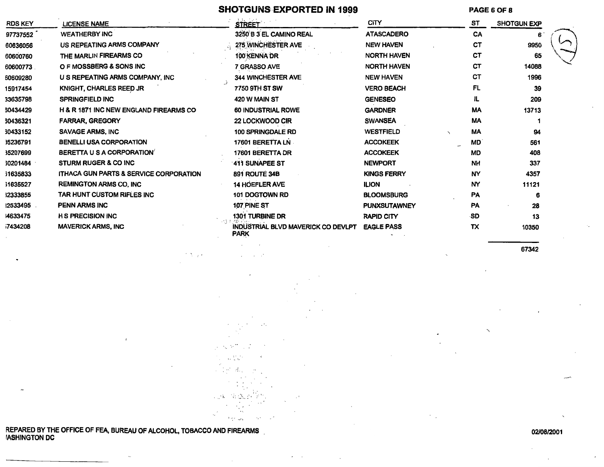### SHOTGUNS EXPORTED IN 1999

PAGE 6 OF 8

| <b>RDS KEY</b> | LICENSE NAME                                      | <b>STREET</b>                                     | <b>CITY</b>         | ST        | <b>SHOTGUN EXP</b> |  |
|----------------|---------------------------------------------------|---------------------------------------------------|---------------------|-----------|--------------------|--|
| 97737552       | <b>WEATHERBY INC</b>                              | 3250 B 3 EL CAMINO REAL                           | <b>ATASCADERO</b>   | CA        | 6                  |  |
| 60636056       | US REPEATING ARMS COMPANY                         | 275 WINCHESTER AVE                                | <b>NEW HAVEN</b>    | <b>CT</b> | 9950               |  |
| 60600760       | THE MARLIN FIREARMS CO                            | 100 KENNA DR                                      | <b>NORTH HAVEN</b>  | СT        | 65                 |  |
| 60600773       | O F MOSSBERG & SONS INC                           | 7 GRASSO AVE                                      | <b>NORTH HAVEN</b>  | <b>CT</b> | 14088              |  |
| 60609280       | U S REPEATING ARMS COMPANY, INC.                  | <b>344 WINCHESTER AVE</b>                         | <b>NEW HAVEN</b>    | СT        | 1996               |  |
| 15917454       | KNIGHT, CHARLES REED JR                           | 7750 9TH ST SW                                    | <b>VERO BEACH</b>   | <b>FL</b> | 39                 |  |
| 33635798       | <b>SPRINGFIELD INC</b>                            | 420 W MAIN ST                                     | <b>GENESEO</b>      | IL.       | 209                |  |
| 60434429       | <b>H &amp; R 1871 INC NEW ENGLAND FIREARMS CO</b> | <b>60 INDUSTRIAL ROWE</b>                         | <b>GARDNER</b>      | <b>MA</b> | 13713              |  |
| 60436321       | <b>FARRAR, GREGORY</b>                            | 22 LOCKWOOD CIR                                   | <b>SWANSEA</b>      | <b>MA</b> |                    |  |
| 30433152       | <b>SAVAGE ARMS, INC</b>                           | <b>100 SPRINGDALE RD</b>                          | <b>WESTFIELD</b>    | MA        | 94                 |  |
| 35236791       | <b>BENELLI USA CORPORATION</b>                    | 17601 BERETTA LN                                  | <b>ACCOKEEK</b>     | <b>MD</b> | 561                |  |
| 35207699       | BERETTA U S A CORPORATION                         | 17601 BERETTA DR                                  | <b>ACCOKEEK</b>     | <b>MD</b> | 408                |  |
| 30201484       | <b>STURM RUGER &amp; CO INC.</b>                  | 411 SUNAPEE ST                                    | <b>NEWPORT</b>      | <b>NH</b> | 337                |  |
| 6358331        | <b>ITHACA GUN PARTS &amp; SERVICE CORPORATION</b> | 891 ROUTE 34B                                     | <b>KINGS FERRY</b>  | NY        | 4357               |  |
| 31635527       | <b>REMINGTON ARMS CO. INC</b>                     | <b>14 HOEFLER AVE</b>                             | <b>ILION</b>        | NY        | 11121              |  |
| 12333855       | TAR HUNT CUSTOM RIFLES INC                        | <b>101 DOGTOWN RD</b>                             | <b>BLOOMSBURG</b>   | <b>PA</b> | 6                  |  |
| 12533495       | <b>PENN ARMS INC</b>                              | 107 PINE ST                                       | <b>PUNXSUTAWNEY</b> | PA        | 28                 |  |
| 4633475        | <b>H S PRECISION INC</b>                          | 1301 TURBINE DR                                   | <b>RAPID CITY</b>   | -SD.      | 13                 |  |
| 7434208        | <b>MAVERICK ARMS, INC</b>                         | INDUSTRIAL BLVD MAVERICK CO DEVLPT<br><b>PARK</b> | <b>EAGLE PASS</b>   | ТX        | 10350              |  |
|                |                                                   |                                                   |                     |           |                    |  |

67342

REPARED BY THE OFFICE OF FEA, BUREAU OF ALCOHOL, TOBACCO AND FIREARMS<br>IASHINGTON DC

 $\sim$   $^{\prime}$ 

il. De А.

aga Rager

 $\delta$  as  $\epsilon$ 

#### 02/08/2001